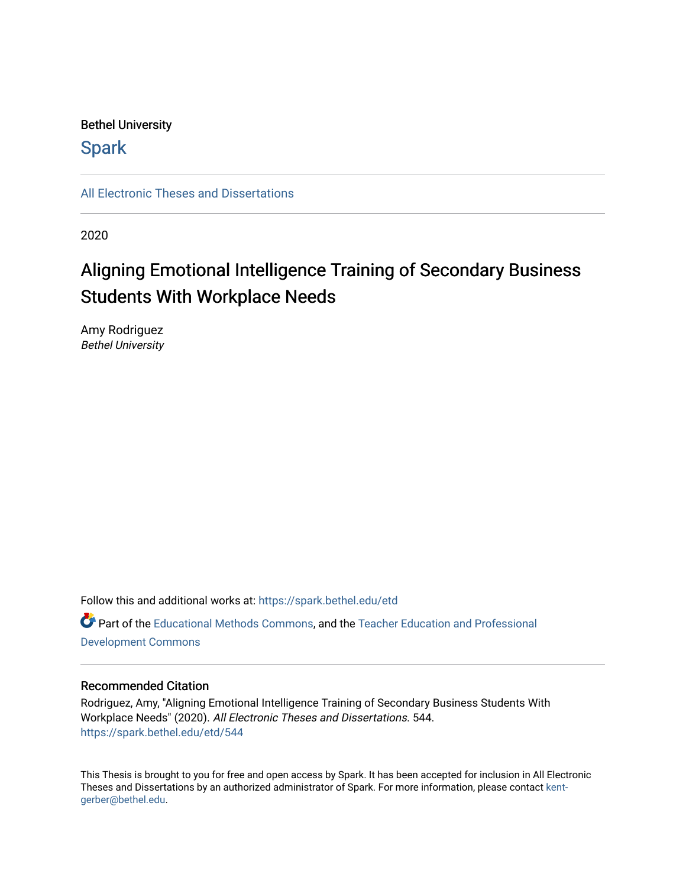### Bethel University

## **Spark**

[All Electronic Theses and Dissertations](https://spark.bethel.edu/etd) 

2020

# Aligning Emotional Intelligence Training of Secondary Business Students With Workplace Needs

Amy Rodriguez Bethel University

Follow this and additional works at: [https://spark.bethel.edu/etd](https://spark.bethel.edu/etd?utm_source=spark.bethel.edu%2Fetd%2F544&utm_medium=PDF&utm_campaign=PDFCoverPages) Part of the [Educational Methods Commons,](http://network.bepress.com/hgg/discipline/1227?utm_source=spark.bethel.edu%2Fetd%2F544&utm_medium=PDF&utm_campaign=PDFCoverPages) and the [Teacher Education and Professional](http://network.bepress.com/hgg/discipline/803?utm_source=spark.bethel.edu%2Fetd%2F544&utm_medium=PDF&utm_campaign=PDFCoverPages)  [Development Commons](http://network.bepress.com/hgg/discipline/803?utm_source=spark.bethel.edu%2Fetd%2F544&utm_medium=PDF&utm_campaign=PDFCoverPages) 

#### Recommended Citation

Rodriguez, Amy, "Aligning Emotional Intelligence Training of Secondary Business Students With Workplace Needs" (2020). All Electronic Theses and Dissertations. 544. [https://spark.bethel.edu/etd/544](https://spark.bethel.edu/etd/544?utm_source=spark.bethel.edu%2Fetd%2F544&utm_medium=PDF&utm_campaign=PDFCoverPages)

This Thesis is brought to you for free and open access by Spark. It has been accepted for inclusion in All Electronic Theses and Dissertations by an authorized administrator of Spark. For more information, please contact [kent](mailto:kent-gerber@bethel.edu)[gerber@bethel.edu.](mailto:kent-gerber@bethel.edu)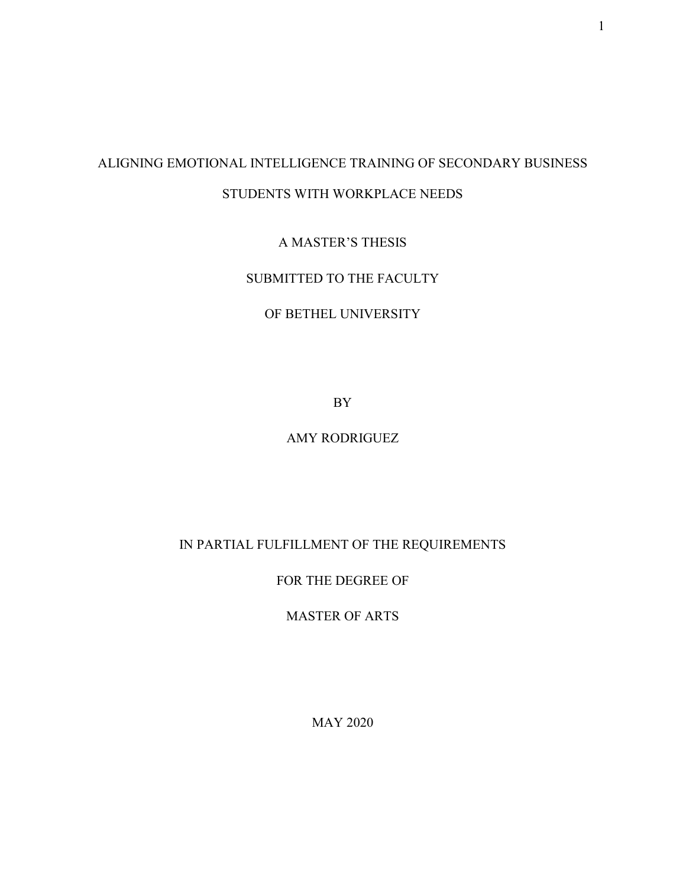## ALIGNING EMOTIONAL INTELLIGENCE TRAINING OF SECONDARY BUSINESS STUDENTS WITH WORKPLACE NEEDS

A MASTER'S THESIS

SUBMITTED TO THE FACULTY

## OF BETHEL UNIVERSITY

BY

### AMY RODRIGUEZ

## IN PARTIAL FULFILLMENT OF THE REQUIREMENTS

## FOR THE DEGREE OF

## MASTER OF ARTS

MAY 2020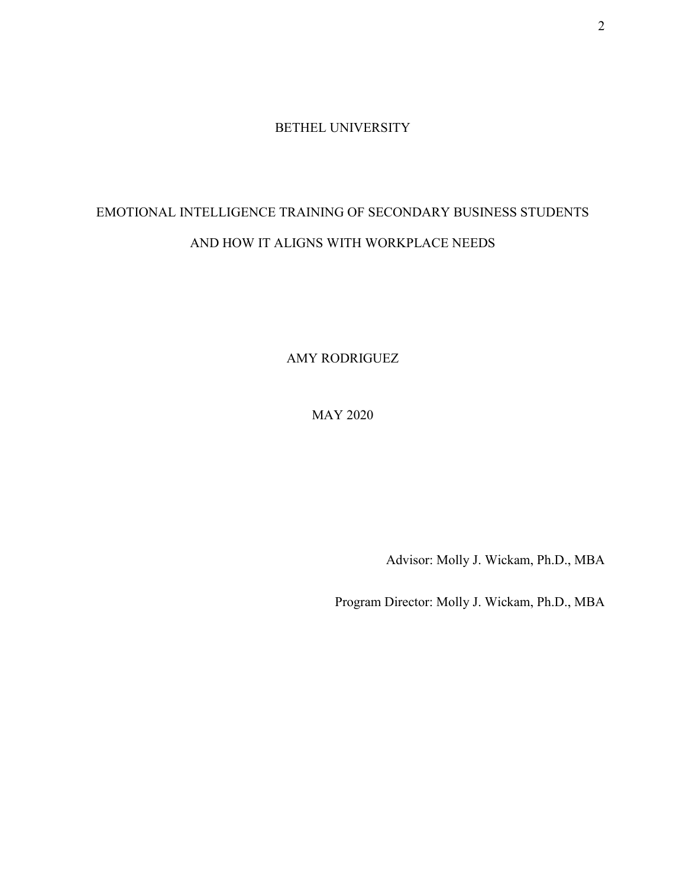#### BETHEL UNIVERSITY

# EMOTIONAL INTELLIGENCE TRAINING OF SECONDARY BUSINESS STUDENTS AND HOW IT ALIGNS WITH WORKPLACE NEEDS

AMY RODRIGUEZ

MAY 2020

Advisor: Molly J. Wickam, Ph.D., MBA

Program Director: Molly J. Wickam, Ph.D., MBA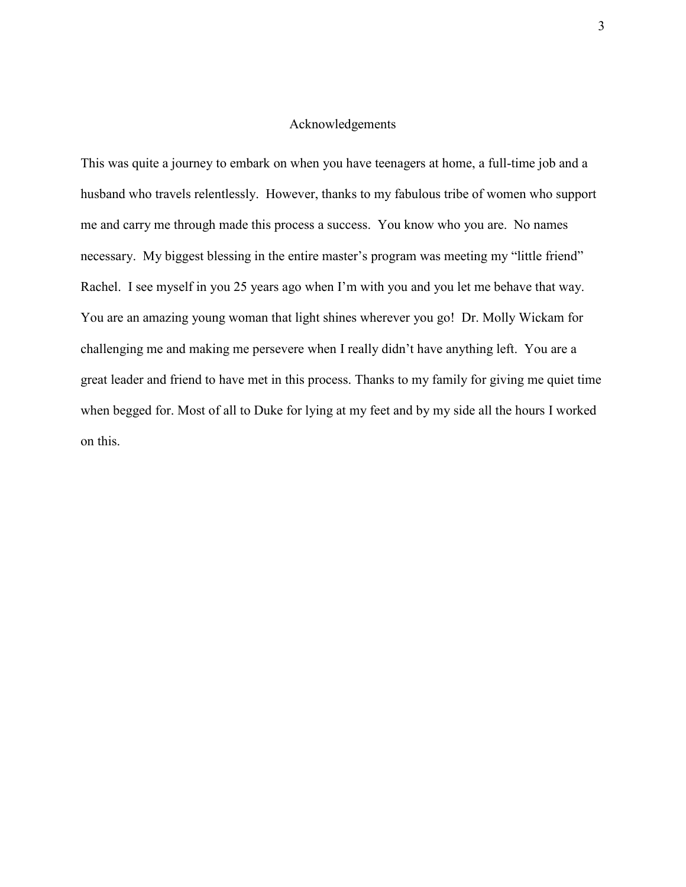#### Acknowledgements

This was quite a journey to embark on when you have teenagers at home, a full-time job and a husband who travels relentlessly. However, thanks to my fabulous tribe of women who support me and carry me through made this process a success. You know who you are. No names necessary. My biggest blessing in the entire master's program was meeting my "little friend" Rachel. I see myself in you 25 years ago when I'm with you and you let me behave that way. You are an amazing young woman that light shines wherever you go! Dr. Molly Wickam for challenging me and making me persevere when I really didn't have anything left. You are a great leader and friend to have met in this process. Thanks to my family for giving me quiet time when begged for. Most of all to Duke for lying at my feet and by my side all the hours I worked on this.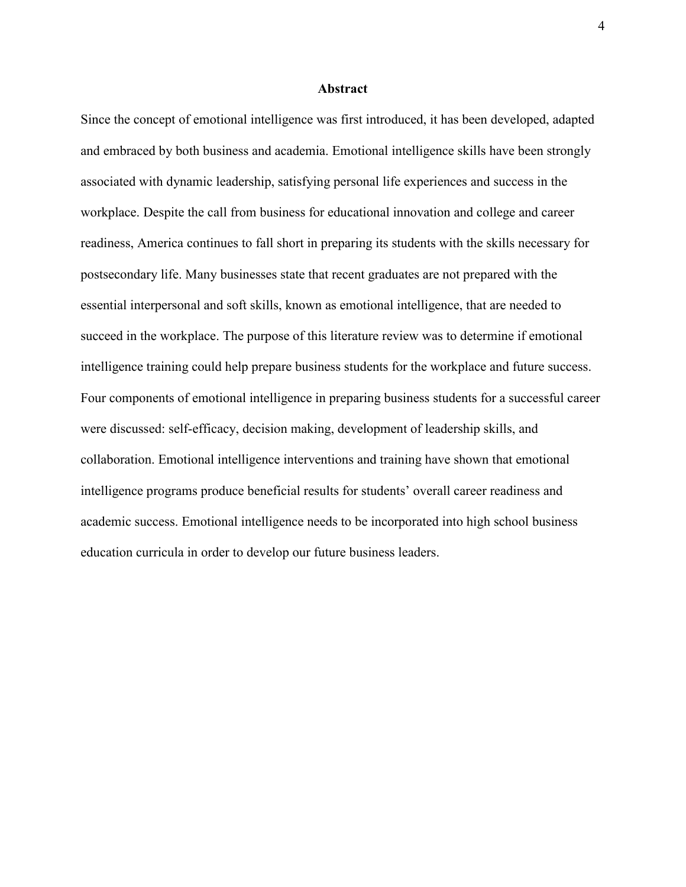#### **Abstract**

Since the concept of emotional intelligence was first introduced, it has been developed, adapted and embraced by both business and academia. Emotional intelligence skills have been strongly associated with dynamic leadership, satisfying personal life experiences and success in the workplace. Despite the call from business for educational innovation and college and career readiness, America continues to fall short in preparing its students with the skills necessary for postsecondary life. Many businesses state that recent graduates are not prepared with the essential interpersonal and soft skills, known as emotional intelligence, that are needed to succeed in the workplace. The purpose of this literature review was to determine if emotional intelligence training could help prepare business students for the workplace and future success. Four components of emotional intelligence in preparing business students for a successful career were discussed: self-efficacy, decision making, development of leadership skills, and collaboration. Emotional intelligence interventions and training have shown that emotional intelligence programs produce beneficial results for students' overall career readiness and academic success. Emotional intelligence needs to be incorporated into high school business education curricula in order to develop our future business leaders.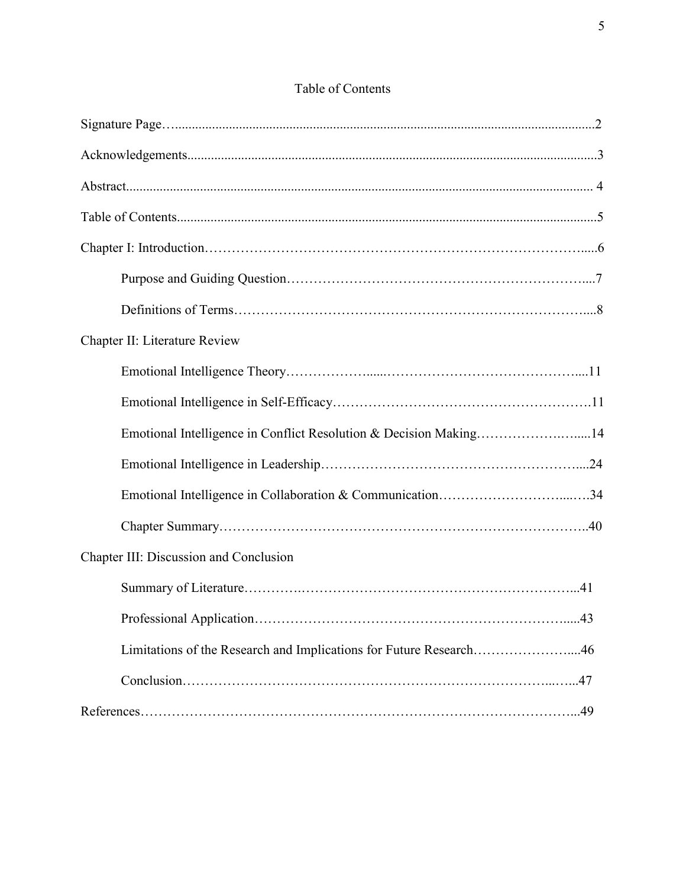## Table of Contents

| Chapter II: Literature Review                                      |
|--------------------------------------------------------------------|
|                                                                    |
|                                                                    |
| Emotional Intelligence in Conflict Resolution & Decision Making14  |
|                                                                    |
| Emotional Intelligence in Collaboration & Communication34          |
|                                                                    |
| Chapter III: Discussion and Conclusion                             |
|                                                                    |
|                                                                    |
| Limitations of the Research and Implications for Future Research46 |
|                                                                    |
|                                                                    |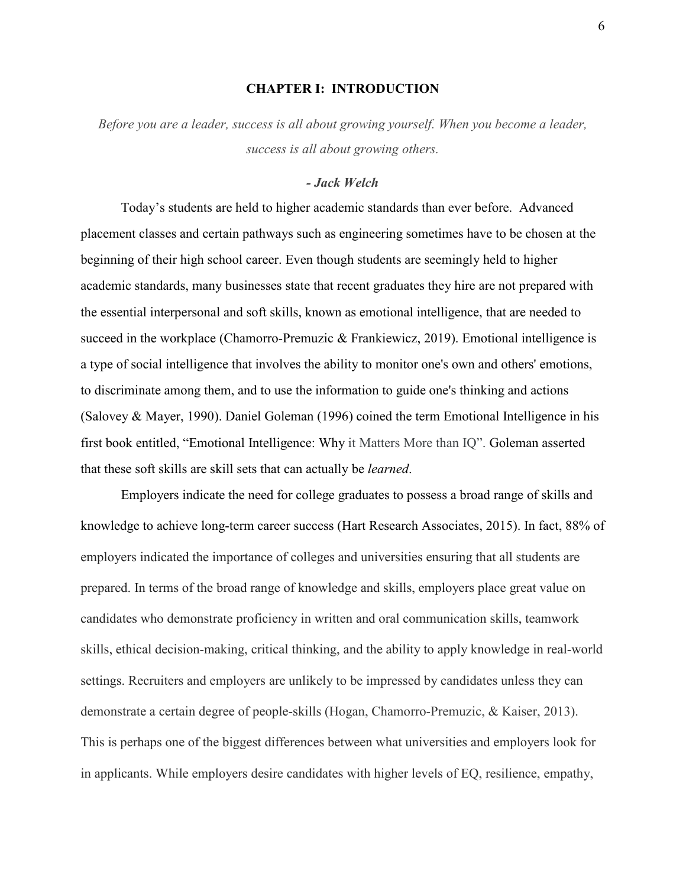#### **CHAPTER I: INTRODUCTION**

*Before you are a leader, success is all about growing yourself. When you become a leader, success is all about growing others.* 

#### *- Jack Welch*

Today's students are held to higher academic standards than ever before. Advanced placement classes and certain pathways such as engineering sometimes have to be chosen at the beginning of their high school career. Even though students are seemingly held to higher academic standards, many businesses state that recent graduates they hire are not prepared with the essential interpersonal and soft skills, known as emotional intelligence, that are needed to succeed in the workplace (Chamorro-Premuzic & Frankiewicz, 2019). Emotional intelligence is a type of social intelligence that involves the ability to monitor one's own and others' emotions, to discriminate among them, and to use the information to guide one's thinking and actions (Salovey & Mayer, 1990). Daniel Goleman (1996) coined the term Emotional Intelligence in his first book entitled, "Emotional Intelligence: Why it Matters More than IQ". Goleman asserted that these soft skills are skill sets that can actually be *learned*.

Employers indicate the need for college graduates to possess a broad range of skills and knowledge to achieve long-term career success (Hart Research Associates, 2015). In fact, 88% of employers indicated the importance of colleges and universities ensuring that all students are prepared. In terms of the broad range of knowledge and skills, employers place great value on candidates who demonstrate proficiency in written and oral communication skills, teamwork skills, ethical decision-making, critical thinking, and the ability to apply knowledge in real-world settings. Recruiters and employers are unlikely to be impressed by candidates unless they can demonstrate a certain degree of people-skills (Hogan, Chamorro-Premuzic, & Kaiser, 2013). This is perhaps one of the biggest differences between what universities and employers look for in applicants. While employers desire candidates with higher levels of EQ, resilience, empathy,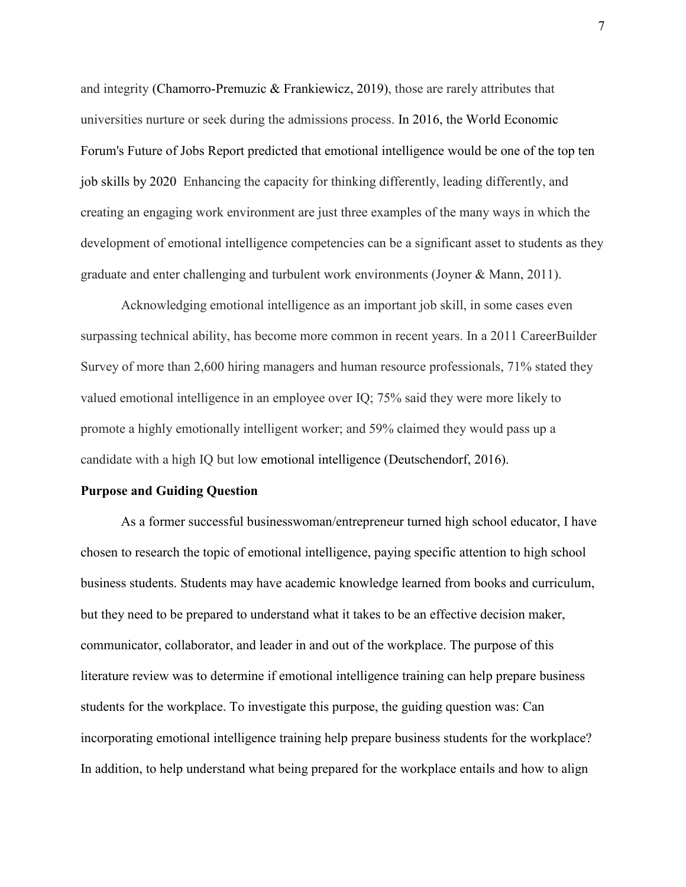and integrity (Chamorro-Premuzic & Frankiewicz, 2019), those are rarely attributes that universities nurture or seek during the admissions process. In 2016, the World Economic Forum's Future of Jobs Report predicted that emotional intelligence would be one of the top ten job skills by 2020 Enhancing the capacity for thinking differently, leading differently, and creating an engaging work environment are just three examples of the many ways in which the development of emotional intelligence competencies can be a significant asset to students as they graduate and enter challenging and turbulent work environments (Joyner & Mann, 2011).

Acknowledging emotional intelligence as an important job skill, in some cases even surpassing technical ability, has become more common in recent years. In a 2011 CareerBuilder Survey of more than 2,600 hiring managers and human resource professionals, 71% stated they valued emotional intelligence in an employee over IQ; 75% said they were more likely to promote a highly emotionally intelligent worker; and 59% claimed they would pass up a candidate with a high IQ but low emotional intelligence (Deutschendorf, 2016).

#### **Purpose and Guiding Question**

As a former successful businesswoman/entrepreneur turned high school educator, I have chosen to research the topic of emotional intelligence, paying specific attention to high school business students. Students may have academic knowledge learned from books and curriculum, but they need to be prepared to understand what it takes to be an effective decision maker, communicator, collaborator, and leader in and out of the workplace. The purpose of this literature review was to determine if emotional intelligence training can help prepare business students for the workplace. To investigate this purpose, the guiding question was: Can incorporating emotional intelligence training help prepare business students for the workplace? In addition, to help understand what being prepared for the workplace entails and how to align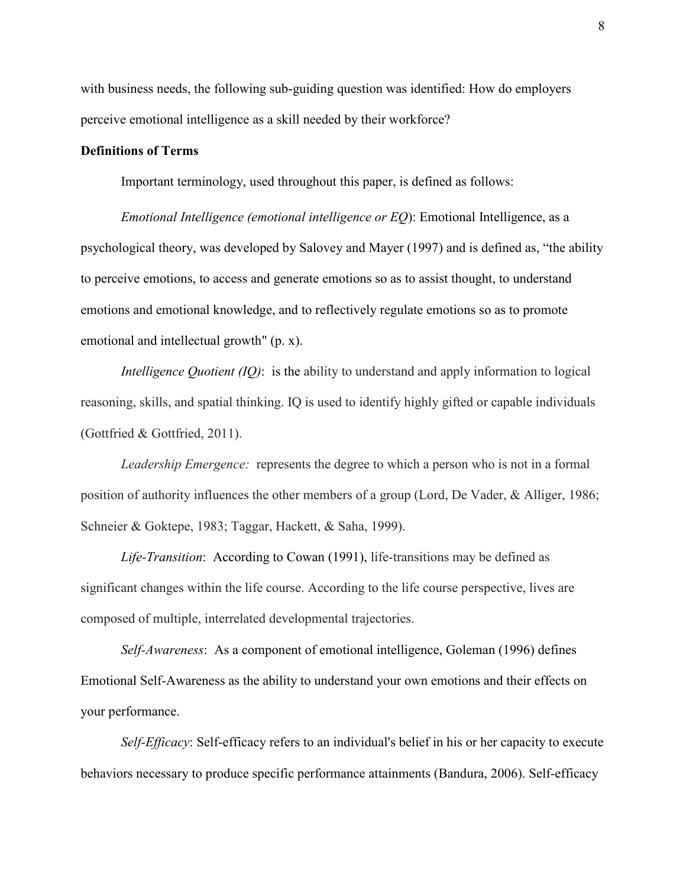with business needs, the following sub-guiding question was identified: How do employers perceive emotional intelligence as a skill needed by their workforce?

#### **Definitions of Terms**

Important terminology, used throughout this paper, is defined as follows:

*Emotional Intelligence (emotional intelligence or EQ*): Emotional Intelligence, as a psychological theory, was developed by Salovey and Mayer (1997) and is defined as, "the ability to perceive emotions, to access and generate emotions so as to assist thought, to understand emotions and emotional knowledge, and to reflectively regulate emotions so as to promote emotional and intellectual growth" (p. x).

*Intelligence Quotient (IQ)*: is the ability to understand and apply information to logical reasoning, skills, and spatial thinking. IQ is used to identify highly gifted or capable individuals (Gottfried & Gottfried, 2011).

*Leadership Emergence:* represents the degree to which a person who is not in a formal position of authority influences the other members of a group (Lord, De Vader, & Alliger, 1986; Schneier & Goktepe, 1983; Taggar, Hackett, & Saha, 1999).

*Life-Transition*: According to Cowan (1991), life-transitions may be defined as significant changes within the life course. According to the life course perspective, lives are composed of multiple, interrelated developmental trajectories.

*Self-Awareness*: As a component of emotional intelligence, Goleman (1996) defines Emotional Self-Awareness as the ability to understand your own emotions and their effects on your performance.

*Self-Efficacy*: Self-efficacy refers to an individual's belief in his or her capacity to execute behaviors necessary to produce specific performance attainments (Bandura, 2006). Self-efficacy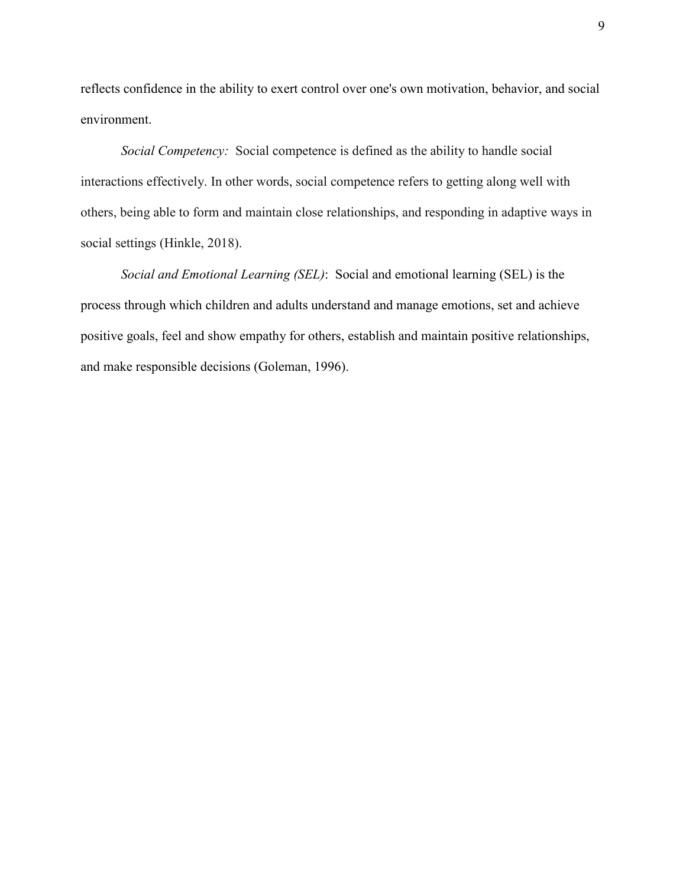reflects confidence in the ability to exert control over one's own motivation, behavior, and social environment.

*Social Competency:* Social competence is defined as the ability to handle social interactions effectively. In other words, social competence refers to getting along well with others, being able to form and maintain close relationships, and responding in adaptive ways in social settings (Hinkle, 2018).

*Social and Emotional Learning (SEL)*: Social and emotional learning (SEL) is the process through which children and adults understand and manage emotions, set and achieve positive goals, feel and show empathy for others, establish and maintain positive relationships, and make responsible decisions (Goleman, 1996).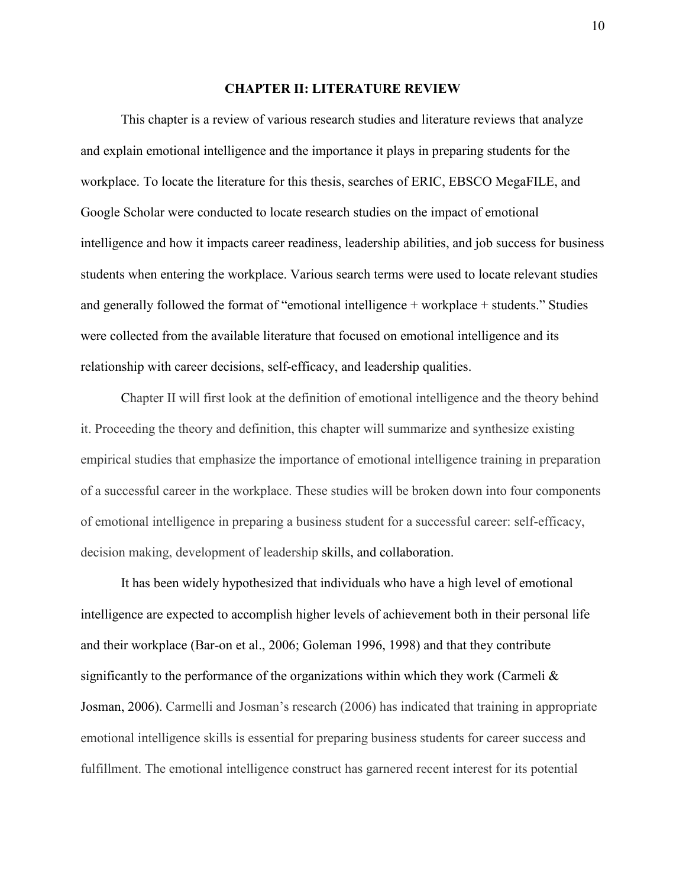#### **CHAPTER II: LITERATURE REVIEW**

This chapter is a review of various research studies and literature reviews that analyze and explain emotional intelligence and the importance it plays in preparing students for the workplace. To locate the literature for this thesis, searches of ERIC, EBSCO MegaFILE, and Google Scholar were conducted to locate research studies on the impact of emotional intelligence and how it impacts career readiness, leadership abilities, and job success for business students when entering the workplace. Various search terms were used to locate relevant studies and generally followed the format of "emotional intelligence + workplace + students." Studies were collected from the available literature that focused on emotional intelligence and its relationship with career decisions, self-efficacy, and leadership qualities.

Chapter II will first look at the definition of emotional intelligence and the theory behind it. Proceeding the theory and definition, this chapter will summarize and synthesize existing empirical studies that emphasize the importance of emotional intelligence training in preparation of a successful career in the workplace. These studies will be broken down into four components of emotional intelligence in preparing a business student for a successful career: self-efficacy, decision making, development of leadership skills, and collaboration.

It has been widely hypothesized that individuals who have a high level of emotional intelligence are expected to accomplish higher levels of achievement both in their personal life and their workplace (Bar-on et al., 2006; Goleman 1996, 1998) and that they contribute significantly to the performance of the organizations within which they work (Carmeli  $\&$ Josman, 2006). Carmelli and Josman's research (2006) has indicated that training in appropriate emotional intelligence skills is essential for preparing business students for career success and fulfillment. The emotional intelligence construct has garnered recent interest for its potential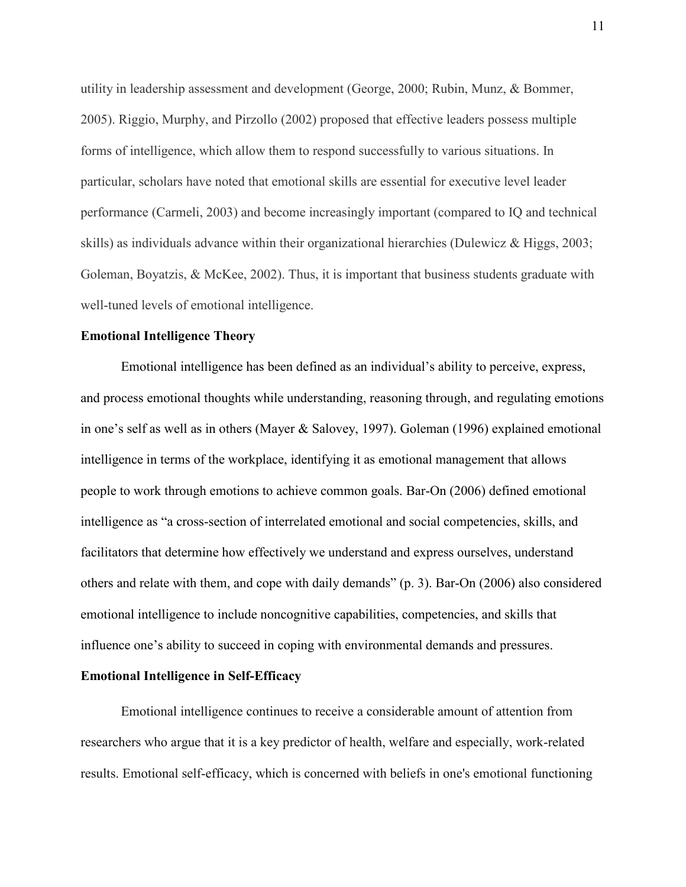utility in leadership assessment and development (George, 2000; Rubin, Munz, & Bommer, 2005). Riggio, Murphy, and Pirzollo (2002) proposed that effective leaders possess multiple forms of intelligence, which allow them to respond successfully to various situations. In particular, scholars have noted that emotional skills are essential for executive level leader performance (Carmeli, 2003) and become increasingly important (compared to IQ and technical skills) as individuals advance within their organizational hierarchies (Dulewicz & Higgs, 2003; Goleman, Boyatzis, & McKee, 2002). Thus, it is important that business students graduate with well-tuned levels of emotional intelligence.

#### **Emotional Intelligence Theory**

Emotional intelligence has been defined as an individual's ability to perceive, express, and process emotional thoughts while understanding, reasoning through, and regulating emotions in one's self as well as in others (Mayer & Salovey, 1997). Goleman (1996) explained emotional intelligence in terms of the workplace, identifying it as emotional management that allows people to work through emotions to achieve common goals. Bar-On (2006) defined emotional intelligence as "a cross-section of interrelated emotional and social competencies, skills, and facilitators that determine how effectively we understand and express ourselves, understand others and relate with them, and cope with daily demands" (p. 3). Bar-On (2006) also considered emotional intelligence to include noncognitive capabilities, competencies, and skills that influence one's ability to succeed in coping with environmental demands and pressures.

#### **Emotional Intelligence in Self-Efficacy**

Emotional intelligence continues to receive a considerable amount of attention from researchers who argue that it is a key predictor of health, welfare and especially, work-related results. Emotional self-efficacy, which is concerned with beliefs in one's emotional functioning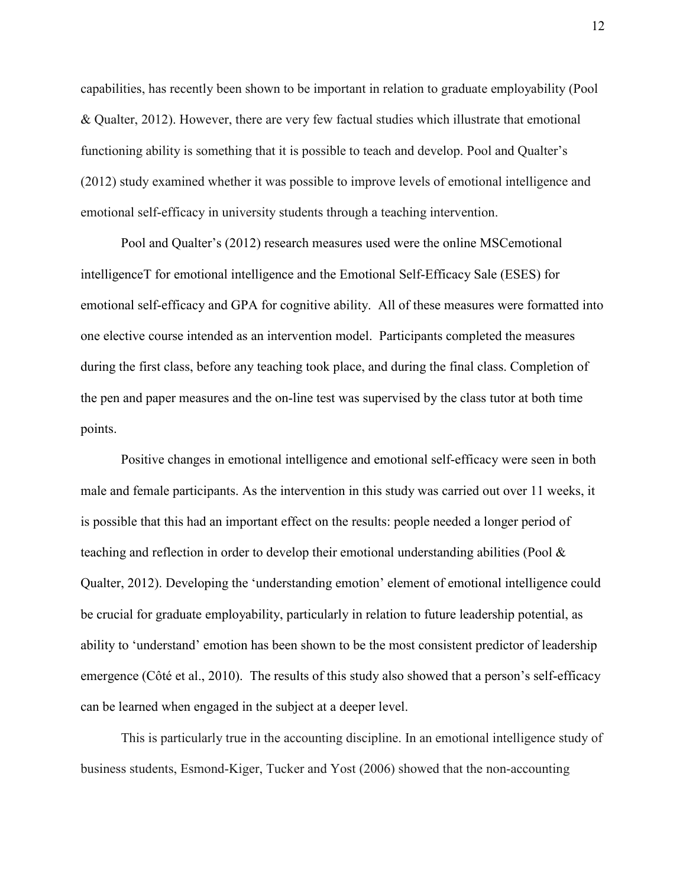capabilities, has recently been shown to be important in relation to graduate employability (Pool & Qualter, 2012). However, there are very few factual studies which illustrate that emotional functioning ability is something that it is possible to teach and develop. Pool and Qualter's (2012) study examined whether it was possible to improve levels of emotional intelligence and emotional self-efficacy in university students through a teaching intervention.

Pool and Qualter's (2012) research measures used were the online MSCemotional intelligenceT for emotional intelligence and the Emotional Self-Efficacy Sale (ESES) for emotional self-efficacy and GPA for cognitive ability. All of these measures were formatted into one elective course intended as an intervention model. Participants completed the measures during the first class, before any teaching took place, and during the final class. Completion of the pen and paper measures and the on-line test was supervised by the class tutor at both time points.

Positive changes in emotional intelligence and emotional self-efficacy were seen in both male and female participants. As the intervention in this study was carried out over 11 weeks, it is possible that this had an important effect on the results: people needed a longer period of teaching and reflection in order to develop their emotional understanding abilities (Pool & Qualter, 2012). Developing the 'understanding emotion' element of emotional intelligence could be crucial for graduate employability, particularly in relation to future leadership potential, as ability to 'understand' emotion has been shown to be the most consistent predictor of leadership emergence (Côté et al., 2010). The results of this study also showed that a person's self-efficacy can be learned when engaged in the subject at a deeper level.

This is particularly true in the accounting discipline. In an emotional intelligence study of business students, Esmond-Kiger, Tucker and Yost (2006) showed that the non-accounting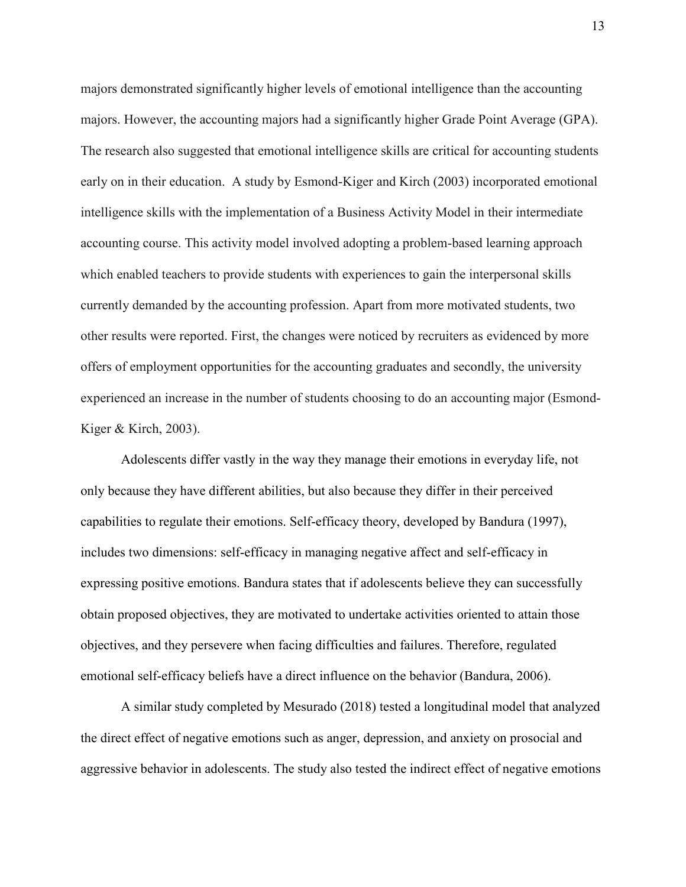majors demonstrated significantly higher levels of emotional intelligence than the accounting majors. However, the accounting majors had a significantly higher Grade Point Average (GPA). The research also suggested that emotional intelligence skills are critical for accounting students early on in their education. A study by Esmond-Kiger and Kirch (2003) incorporated emotional intelligence skills with the implementation of a Business Activity Model in their intermediate accounting course. This activity model involved adopting a problem-based learning approach which enabled teachers to provide students with experiences to gain the interpersonal skills currently demanded by the accounting profession. Apart from more motivated students, two other results were reported. First, the changes were noticed by recruiters as evidenced by more offers of employment opportunities for the accounting graduates and secondly, the university experienced an increase in the number of students choosing to do an accounting major (Esmond-Kiger & Kirch, 2003).

Adolescents differ vastly in the way they manage their emotions in everyday life, not only because they have different abilities, but also because they differ in their perceived capabilities to regulate their emotions. Self-efficacy theory, developed by Bandura (1997), includes two dimensions: self-efficacy in managing negative affect and self-efficacy in expressing positive emotions. Bandura states that if adolescents believe they can successfully obtain proposed objectives, they are motivated to undertake activities oriented to attain those objectives, and they persevere when facing difficulties and failures. Therefore, regulated emotional self-efficacy beliefs have a direct influence on the behavior (Bandura, 2006).

A similar study completed by Mesurado (2018) tested a longitudinal model that analyzed the direct effect of negative emotions such as anger, depression, and anxiety on prosocial and aggressive behavior in adolescents. The study also tested the indirect effect of negative emotions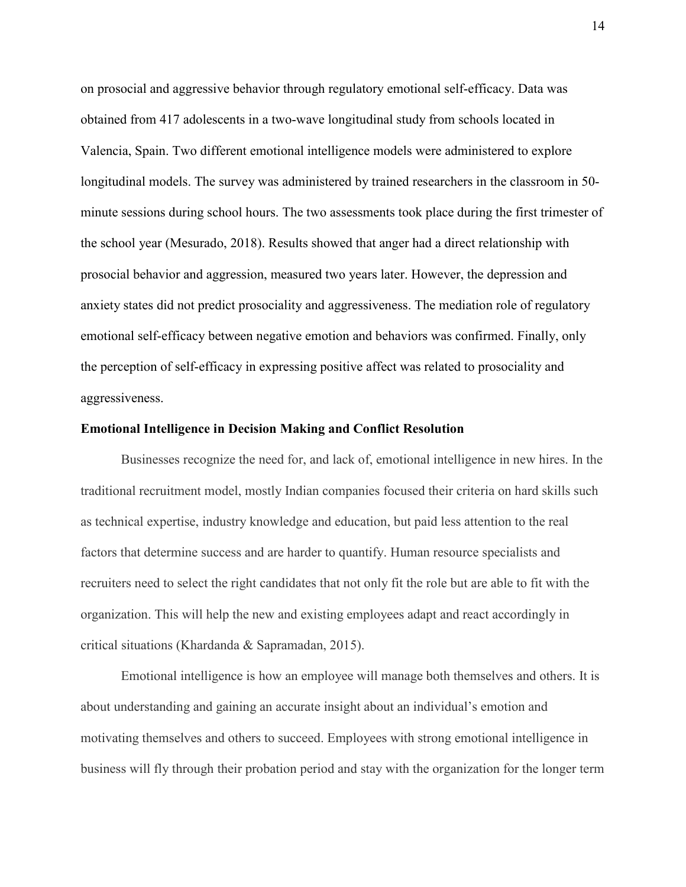on prosocial and aggressive behavior through regulatory emotional self-efficacy. Data was obtained from 417 adolescents in a two-wave longitudinal study from schools located in Valencia, Spain. Two different emotional intelligence models were administered to explore longitudinal models. The survey was administered by trained researchers in the classroom in 50 minute sessions during school hours. The two assessments took place during the first trimester of the school year (Mesurado, 2018). Results showed that anger had a direct relationship with prosocial behavior and aggression, measured two years later. However, the depression and anxiety states did not predict prosociality and aggressiveness. The mediation role of regulatory emotional self-efficacy between negative emotion and behaviors was confirmed. Finally, only the perception of self-efficacy in expressing positive affect was related to prosociality and aggressiveness.

#### **Emotional Intelligence in Decision Making and Conflict Resolution**

 Businesses recognize the need for, and lack of, emotional intelligence in new hires. In the traditional recruitment model, mostly Indian companies focused their criteria on hard skills such as technical expertise, industry knowledge and education, but paid less attention to the real factors that determine success and are harder to quantify. Human resource specialists and recruiters need to select the right candidates that not only fit the role but are able to fit with the organization. This will help the new and existing employees adapt and react accordingly in critical situations (Khardanda & Sapramadan, 2015).

Emotional intelligence is how an employee will manage both themselves and others. It is about understanding and gaining an accurate insight about an individual's emotion and motivating themselves and others to succeed. Employees with strong emotional intelligence in business will fly through their probation period and stay with the organization for the longer term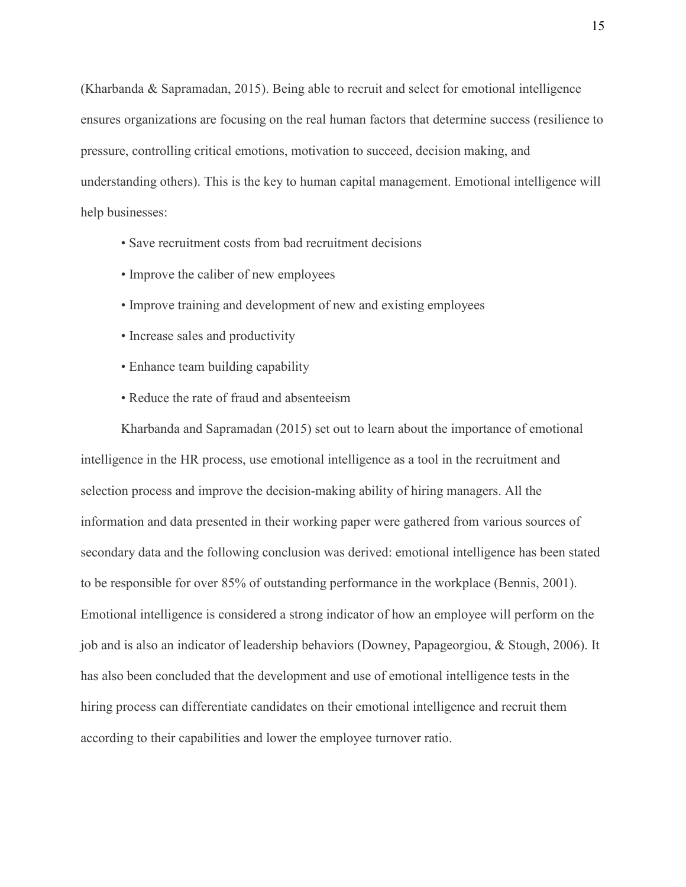(Kharbanda & Sapramadan, 2015). Being able to recruit and select for emotional intelligence ensures organizations are focusing on the real human factors that determine success (resilience to pressure, controlling critical emotions, motivation to succeed, decision making, and understanding others). This is the key to human capital management. Emotional intelligence will help businesses:

- Save recruitment costs from bad recruitment decisions
- Improve the caliber of new employees
- Improve training and development of new and existing employees
- Increase sales and productivity
- Enhance team building capability
- Reduce the rate of fraud and absenteeism

Kharbanda and Sapramadan (2015) set out to learn about the importance of emotional intelligence in the HR process, use emotional intelligence as a tool in the recruitment and selection process and improve the decision-making ability of hiring managers. All the information and data presented in their working paper were gathered from various sources of secondary data and the following conclusion was derived: emotional intelligence has been stated to be responsible for over 85% of outstanding performance in the workplace (Bennis, 2001). Emotional intelligence is considered a strong indicator of how an employee will perform on the job and is also an indicator of leadership behaviors (Downey, Papageorgiou, & Stough, 2006). It has also been concluded that the development and use of emotional intelligence tests in the hiring process can differentiate candidates on their emotional intelligence and recruit them according to their capabilities and lower the employee turnover ratio.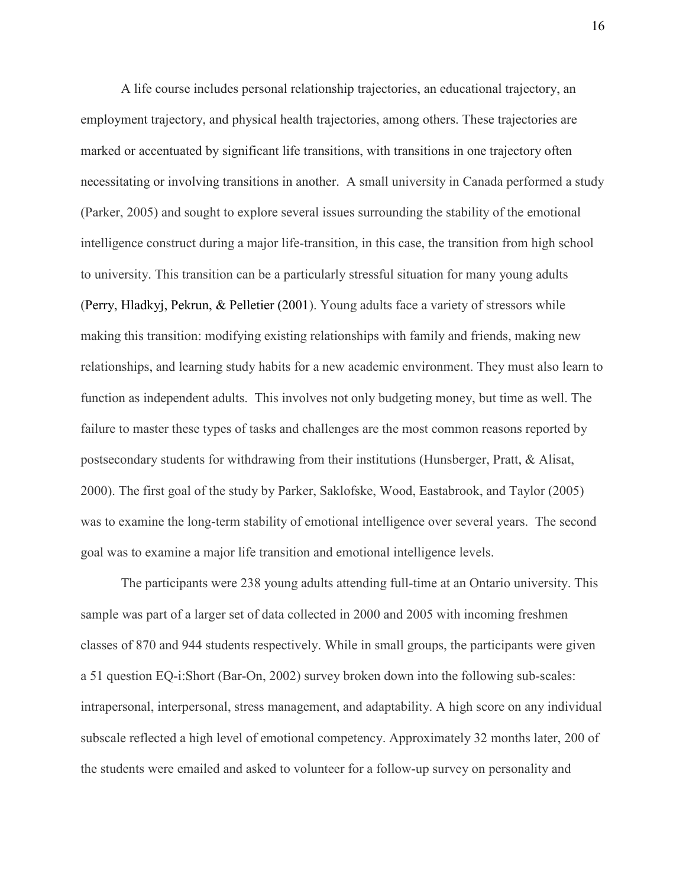A life course includes personal relationship trajectories, an educational trajectory, an employment trajectory, and physical health trajectories, among others. These trajectories are marked or accentuated by significant life transitions, with transitions in one trajectory often necessitating or involving transitions in another. A small university in Canada performed a study (Parker, 2005) and sought to explore several issues surrounding the stability of the emotional intelligence construct during a major life-transition, in this case, the transition from high school to university. This transition can be a particularly stressful situation for many young adults (Perry, Hladkyj, Pekrun, & Pelletier (2001). Young adults face a variety of stressors while making this transition: modifying existing relationships with family and friends, making new relationships, and learning study habits for a new academic environment. They must also learn to function as independent adults. This involves not only budgeting money, but time as well. The failure to master these types of tasks and challenges are the most common reasons reported by postsecondary students for withdrawing from their institutions (Hunsberger, Pratt, & Alisat, 2000). The first goal of the study by Parker, Saklofske, Wood, Eastabrook, and Taylor (2005) was to examine the long-term stability of emotional intelligence over several years. The second goal was to examine a major life transition and emotional intelligence levels.

 The participants were 238 young adults attending full-time at an Ontario university. This sample was part of a larger set of data collected in 2000 and 2005 with incoming freshmen classes of 870 and 944 students respectively. While in small groups, the participants were given a 51 question EQ-i:Short (Bar-On, 2002) survey broken down into the following sub-scales: intrapersonal, interpersonal, stress management, and adaptability. A high score on any individual subscale reflected a high level of emotional competency. Approximately 32 months later, 200 of the students were emailed and asked to volunteer for a follow-up survey on personality and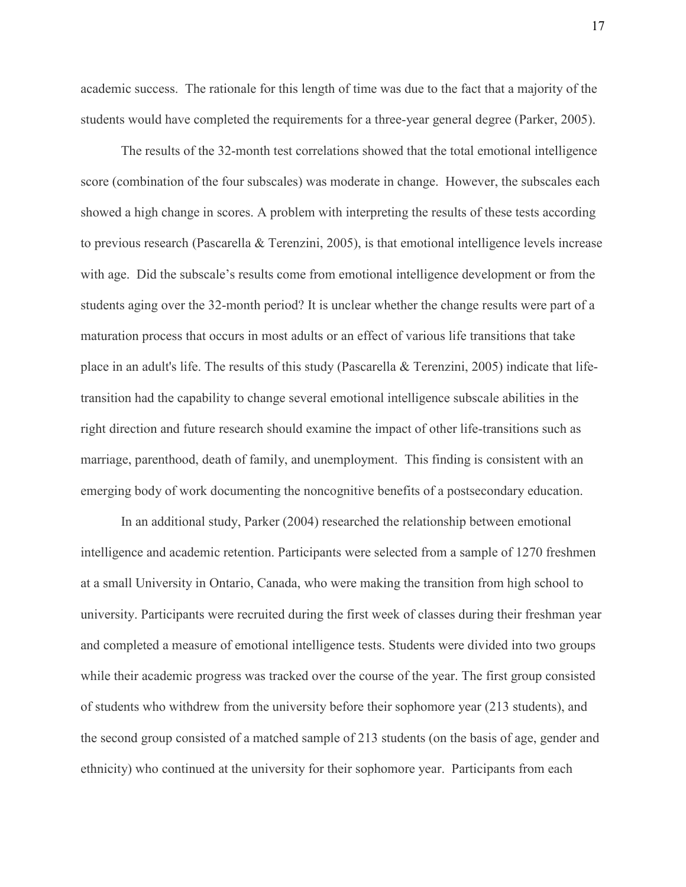academic success. The rationale for this length of time was due to the fact that a majority of the students would have completed the requirements for a three-year general degree (Parker, 2005).

 The results of the 32-month test correlations showed that the total emotional intelligence score (combination of the four subscales) was moderate in change. However, the subscales each showed a high change in scores. A problem with interpreting the results of these tests according to previous research (Pascarella & Terenzini, 2005), is that emotional intelligence levels increase with age. Did the subscale's results come from emotional intelligence development or from the students aging over the 32-month period? It is unclear whether the change results were part of a maturation process that occurs in most adults or an effect of various life transitions that take place in an adult's life. The results of this study (Pascarella & Terenzini, 2005) indicate that lifetransition had the capability to change several emotional intelligence subscale abilities in the right direction and future research should examine the impact of other life-transitions such as marriage, parenthood, death of family, and unemployment. This finding is consistent with an emerging body of work documenting the noncognitive benefits of a postsecondary education.

In an additional study, Parker (2004) researched the relationship between emotional intelligence and academic retention. Participants were selected from a sample of 1270 freshmen at a small University in Ontario, Canada, who were making the transition from high school to university. Participants were recruited during the first week of classes during their freshman year and completed a measure of emotional intelligence tests. Students were divided into two groups while their academic progress was tracked over the course of the year. The first group consisted of students who withdrew from the university before their sophomore year (213 students), and the second group consisted of a matched sample of 213 students (on the basis of age, gender and ethnicity) who continued at the university for their sophomore year. Participants from each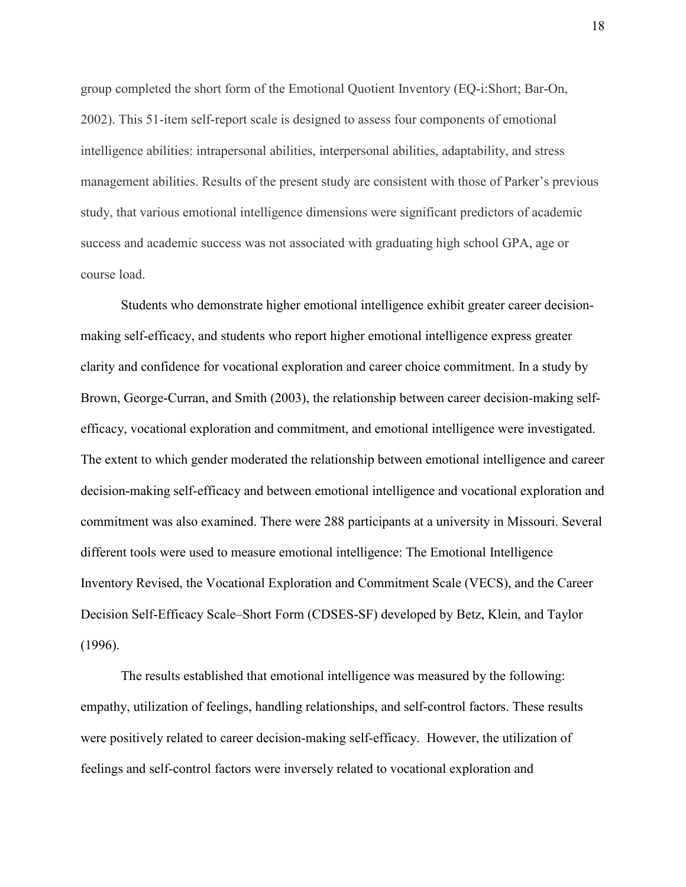group completed the short form of the Emotional Quotient Inventory (EQ-i:Short; Bar-On, 2002). This 51-item self-report scale is designed to assess four components of emotional intelligence abilities: intrapersonal abilities, interpersonal abilities, adaptability, and stress management abilities. Results of the present study are consistent with those of Parker's previous study, that various emotional intelligence dimensions were significant predictors of academic success and academic success was not associated with graduating high school GPA, age or course load.

Students who demonstrate higher emotional intelligence exhibit greater career decisionmaking self-efficacy, and students who report higher emotional intelligence express greater clarity and confidence for vocational exploration and career choice commitment. In a study by Brown, George-Curran, and Smith (2003), the relationship between career decision-making selfefficacy, vocational exploration and commitment, and emotional intelligence were investigated. The extent to which gender moderated the relationship between emotional intelligence and career decision-making self-efficacy and between emotional intelligence and vocational exploration and commitment was also examined. There were 288 participants at a university in Missouri. Several different tools were used to measure emotional intelligence: The Emotional Intelligence Inventory Revised, the Vocational Exploration and Commitment Scale (VECS), and the Career Decision Self-Efficacy Scale–Short Form (CDSES-SF) developed by Betz, Klein, and Taylor (1996).

The results established that emotional intelligence was measured by the following: empathy, utilization of feelings, handling relationships, and self-control factors. These results were positively related to career decision-making self-efficacy. However, the utilization of feelings and self-control factors were inversely related to vocational exploration and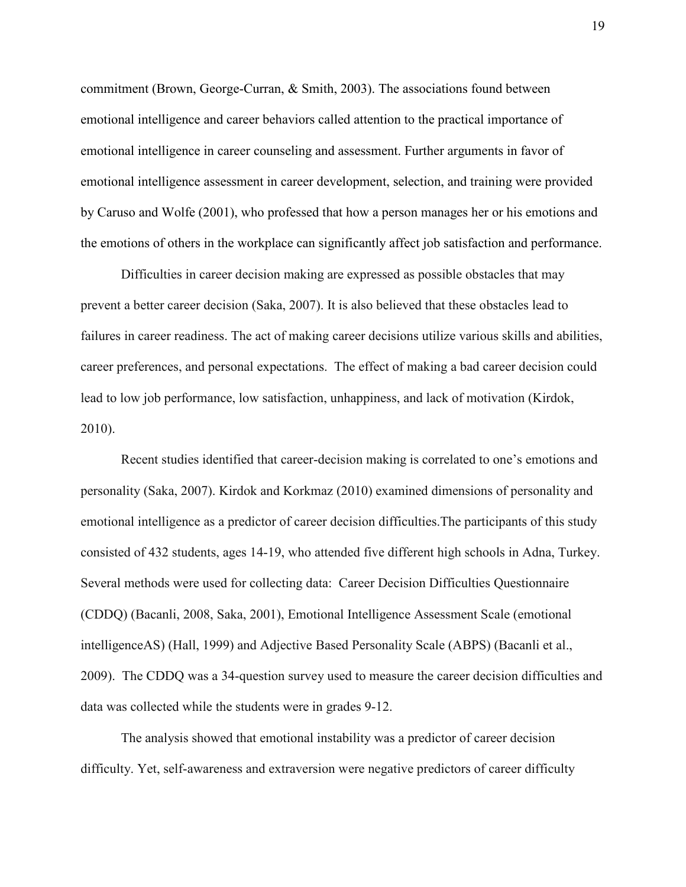commitment (Brown, George-Curran, & Smith, 2003). The associations found between emotional intelligence and career behaviors called attention to the practical importance of emotional intelligence in career counseling and assessment. Further arguments in favor of emotional intelligence assessment in career development, selection, and training were provided by Caruso and Wolfe (2001), who professed that how a person manages her or his emotions and the emotions of others in the workplace can significantly affect job satisfaction and performance.

Difficulties in career decision making are expressed as possible obstacles that may prevent a better career decision (Saka, 2007). It is also believed that these obstacles lead to failures in career readiness. The act of making career decisions utilize various skills and abilities, career preferences, and personal expectations. The effect of making a bad career decision could lead to low job performance, low satisfaction, unhappiness, and lack of motivation (Kirdok, 2010).

Recent studies identified that career-decision making is correlated to one's emotions and personality (Saka, 2007). Kirdok and Korkmaz (2010) examined dimensions of personality and emotional intelligence as a predictor of career decision difficulties.The participants of this study consisted of 432 students, ages 14-19, who attended five different high schools in Adna, Turkey. Several methods were used for collecting data: Career Decision Difficulties Questionnaire (CDDQ) (Bacanli, 2008, Saka, 2001), Emotional Intelligence Assessment Scale (emotional intelligenceAS) (Hall, 1999) and Adjective Based Personality Scale (ABPS) (Bacanli et al., 2009). The CDDQ was a 34-question survey used to measure the career decision difficulties and data was collected while the students were in grades 9-12.

 The analysis showed that emotional instability was a predictor of career decision difficulty. Yet, self-awareness and extraversion were negative predictors of career difficulty 19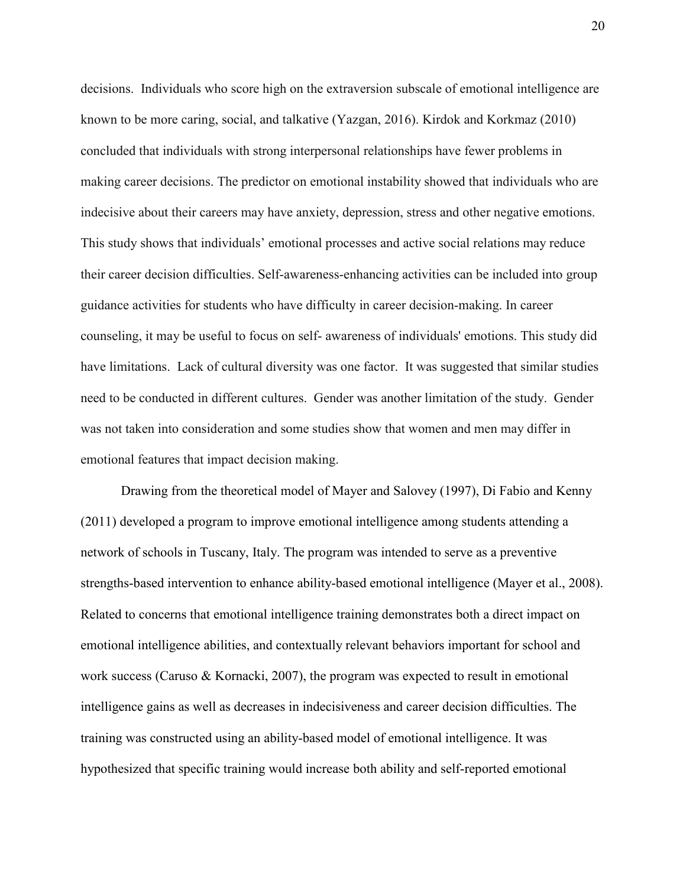decisions. Individuals who score high on the extraversion subscale of emotional intelligence are known to be more caring, social, and talkative (Yazgan, 2016). Kirdok and Korkmaz (2010) concluded that individuals with strong interpersonal relationships have fewer problems in making career decisions. The predictor on emotional instability showed that individuals who are indecisive about their careers may have anxiety, depression, stress and other negative emotions. This study shows that individuals' emotional processes and active social relations may reduce their career decision difficulties. Self-awareness-enhancing activities can be included into group guidance activities for students who have difficulty in career decision-making. In career counseling, it may be useful to focus on self- awareness of individuals' emotions. This study did have limitations. Lack of cultural diversity was one factor. It was suggested that similar studies need to be conducted in different cultures. Gender was another limitation of the study. Gender was not taken into consideration and some studies show that women and men may differ in emotional features that impact decision making.

Drawing from the theoretical model of Mayer and Salovey (1997), Di Fabio and Kenny (2011) developed a program to improve emotional intelligence among students attending a network of schools in Tuscany, Italy. The program was intended to serve as a preventive strengths-based intervention to enhance ability-based emotional intelligence (Mayer et al., 2008). Related to concerns that emotional intelligence training demonstrates both a direct impact on emotional intelligence abilities, and contextually relevant behaviors important for school and work success (Caruso & Kornacki, 2007), the program was expected to result in emotional intelligence gains as well as decreases in indecisiveness and career decision difficulties. The training was constructed using an ability-based model of emotional intelligence. It was hypothesized that specific training would increase both ability and self-reported emotional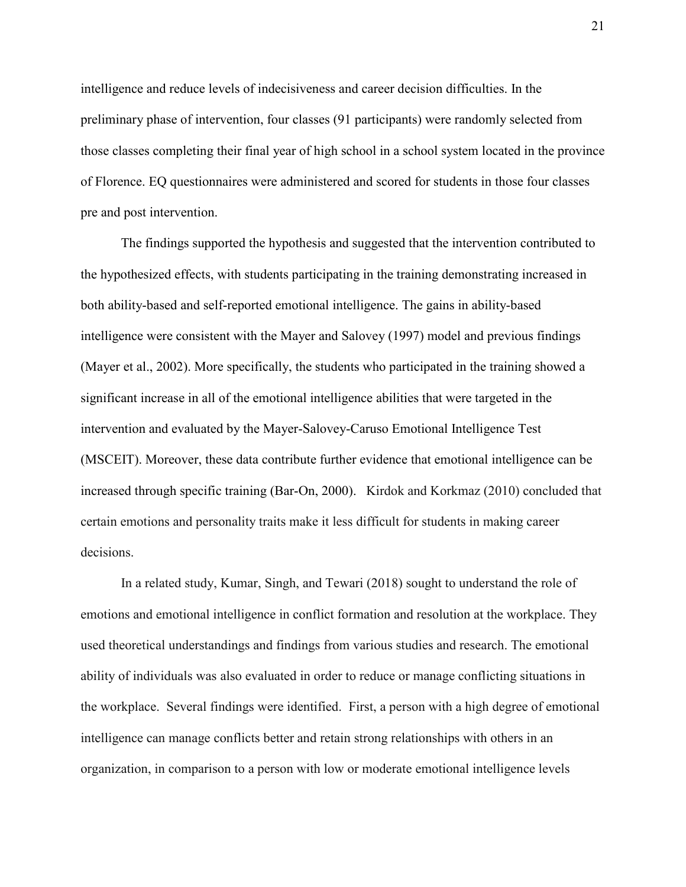intelligence and reduce levels of indecisiveness and career decision difficulties. In the preliminary phase of intervention, four classes (91 participants) were randomly selected from those classes completing their final year of high school in a school system located in the province of Florence. EQ questionnaires were administered and scored for students in those four classes pre and post intervention.

The findings supported the hypothesis and suggested that the intervention contributed to the hypothesized effects, with students participating in the training demonstrating increased in both ability-based and self-reported emotional intelligence. The gains in ability-based intelligence were consistent with the Mayer and Salovey (1997) model and previous findings (Mayer et al., 2002). More specifically, the students who participated in the training showed a significant increase in all of the emotional intelligence abilities that were targeted in the intervention and evaluated by the Mayer-Salovey-Caruso Emotional Intelligence Test (MSCEIT). Moreover, these data contribute further evidence that emotional intelligence can be increased through specific training (Bar-On, 2000). Kirdok and Korkmaz (2010) concluded that certain emotions and personality traits make it less difficult for students in making career decisions.

In a related study, Kumar, Singh, and Tewari (2018) sought to understand the role of emotions and emotional intelligence in conflict formation and resolution at the workplace. They used theoretical understandings and findings from various studies and research. The emotional ability of individuals was also evaluated in order to reduce or manage conflicting situations in the workplace. Several findings were identified. First, a person with a high degree of emotional intelligence can manage conflicts better and retain strong relationships with others in an organization, in comparison to a person with low or moderate emotional intelligence levels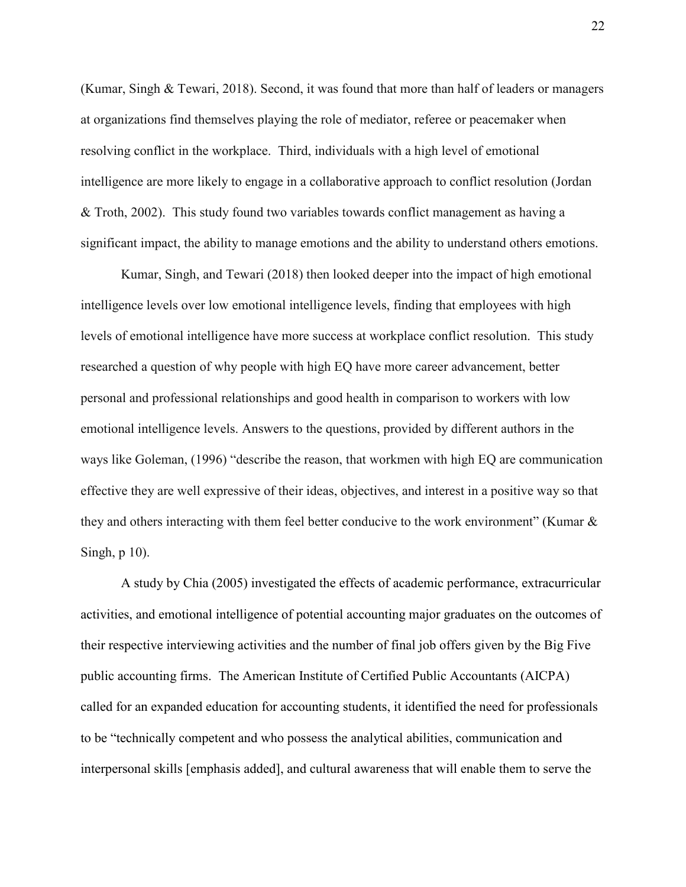(Kumar, Singh & Tewari, 2018). Second, it was found that more than half of leaders or managers at organizations find themselves playing the role of mediator, referee or peacemaker when resolving conflict in the workplace. Third, individuals with a high level of emotional intelligence are more likely to engage in a collaborative approach to conflict resolution (Jordan & Troth, 2002). This study found two variables towards conflict management as having a significant impact, the ability to manage emotions and the ability to understand others emotions.

 Kumar, Singh, and Tewari (2018) then looked deeper into the impact of high emotional intelligence levels over low emotional intelligence levels, finding that employees with high levels of emotional intelligence have more success at workplace conflict resolution. This study researched a question of why people with high EQ have more career advancement, better personal and professional relationships and good health in comparison to workers with low emotional intelligence levels. Answers to the questions, provided by different authors in the ways like Goleman, (1996) "describe the reason, that workmen with high EQ are communication effective they are well expressive of their ideas, objectives, and interest in a positive way so that they and others interacting with them feel better conducive to the work environment" (Kumar & Singh, p 10).

A study by Chia (2005) investigated the effects of academic performance, extracurricular activities, and emotional intelligence of potential accounting major graduates on the outcomes of their respective interviewing activities and the number of final job offers given by the Big Five public accounting firms. The American Institute of Certified Public Accountants (AICPA) called for an expanded education for accounting students, it identified the need for professionals to be "technically competent and who possess the analytical abilities, communication and interpersonal skills [emphasis added], and cultural awareness that will enable them to serve the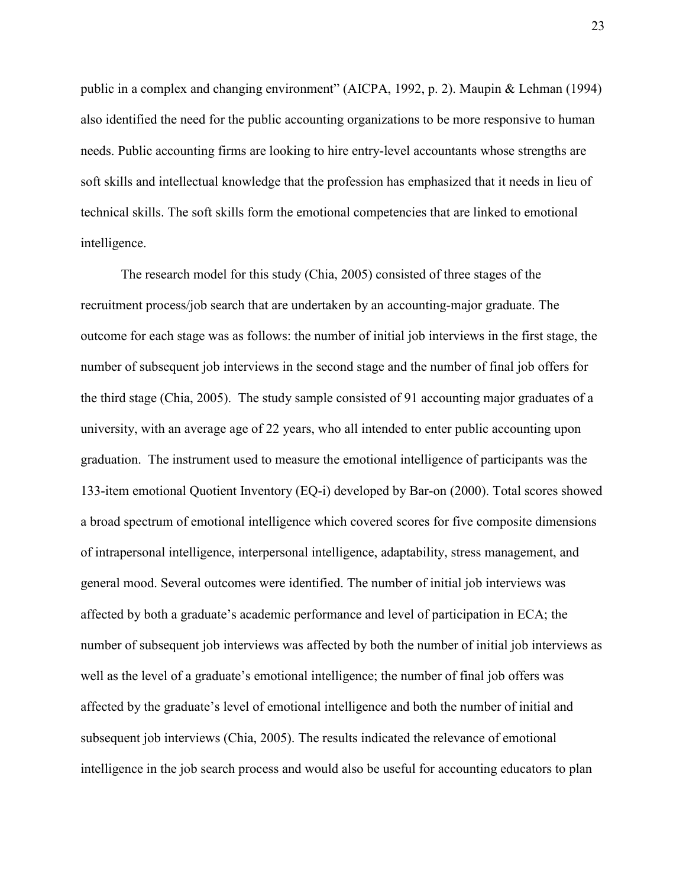public in a complex and changing environment" (AICPA, 1992, p. 2). Maupin & Lehman (1994) also identified the need for the public accounting organizations to be more responsive to human needs. Public accounting firms are looking to hire entry-level accountants whose strengths are soft skills and intellectual knowledge that the profession has emphasized that it needs in lieu of technical skills. The soft skills form the emotional competencies that are linked to emotional intelligence.

The research model for this study (Chia, 2005) consisted of three stages of the recruitment process/job search that are undertaken by an accounting-major graduate. The outcome for each stage was as follows: the number of initial job interviews in the first stage, the number of subsequent job interviews in the second stage and the number of final job offers for the third stage (Chia, 2005). The study sample consisted of 91 accounting major graduates of a university, with an average age of 22 years, who all intended to enter public accounting upon graduation. The instrument used to measure the emotional intelligence of participants was the 133-item emotional Quotient Inventory (EQ-i) developed by Bar-on (2000). Total scores showed a broad spectrum of emotional intelligence which covered scores for five composite dimensions of intrapersonal intelligence, interpersonal intelligence, adaptability, stress management, and general mood. Several outcomes were identified. The number of initial job interviews was affected by both a graduate's academic performance and level of participation in ECA; the number of subsequent job interviews was affected by both the number of initial job interviews as well as the level of a graduate's emotional intelligence; the number of final job offers was affected by the graduate's level of emotional intelligence and both the number of initial and subsequent job interviews (Chia, 2005). The results indicated the relevance of emotional intelligence in the job search process and would also be useful for accounting educators to plan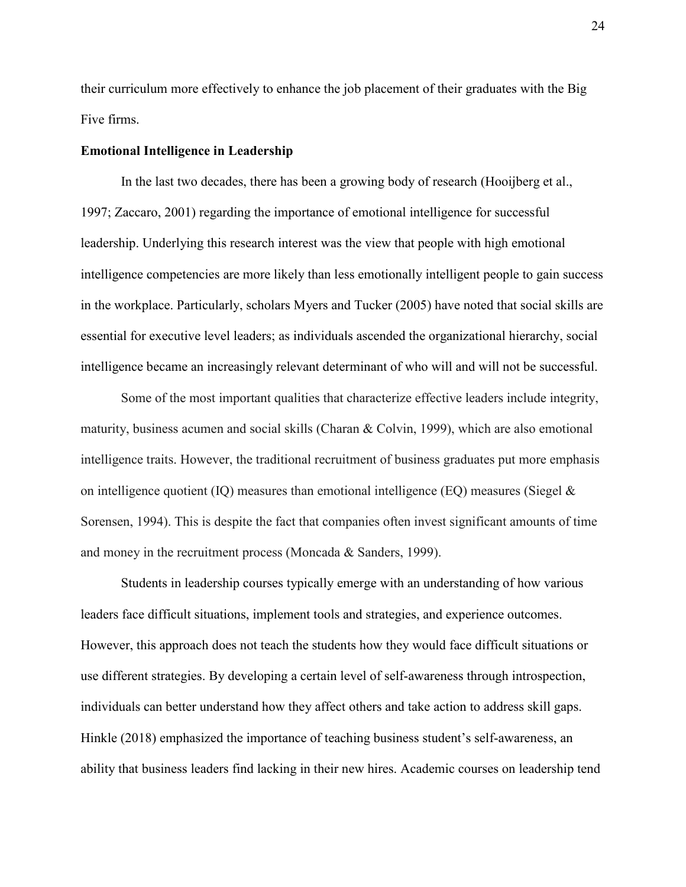their curriculum more effectively to enhance the job placement of their graduates with the Big Five firms.

#### **Emotional Intelligence in Leadership**

In the last two decades, there has been a growing body of research (Hooijberg et al., 1997; Zaccaro, 2001) regarding the importance of emotional intelligence for successful leadership. Underlying this research interest was the view that people with high emotional intelligence competencies are more likely than less emotionally intelligent people to gain success in the workplace. Particularly, scholars Myers and Tucker (2005) have noted that social skills are essential for executive level leaders; as individuals ascended the organizational hierarchy, social intelligence became an increasingly relevant determinant of who will and will not be successful.

Some of the most important qualities that characterize effective leaders include integrity, maturity, business acumen and social skills (Charan & Colvin, 1999), which are also emotional intelligence traits. However, the traditional recruitment of business graduates put more emphasis on intelligence quotient (IQ) measures than emotional intelligence (EQ) measures (Siegel  $\&$ Sorensen, 1994). This is despite the fact that companies often invest significant amounts of time and money in the recruitment process (Moncada & Sanders, 1999).

Students in leadership courses typically emerge with an understanding of how various leaders face difficult situations, implement tools and strategies, and experience outcomes. However, this approach does not teach the students how they would face difficult situations or use different strategies. By developing a certain level of self-awareness through introspection, individuals can better understand how they affect others and take action to address skill gaps. Hinkle (2018) emphasized the importance of teaching business student's self-awareness, an ability that business leaders find lacking in their new hires. Academic courses on leadership tend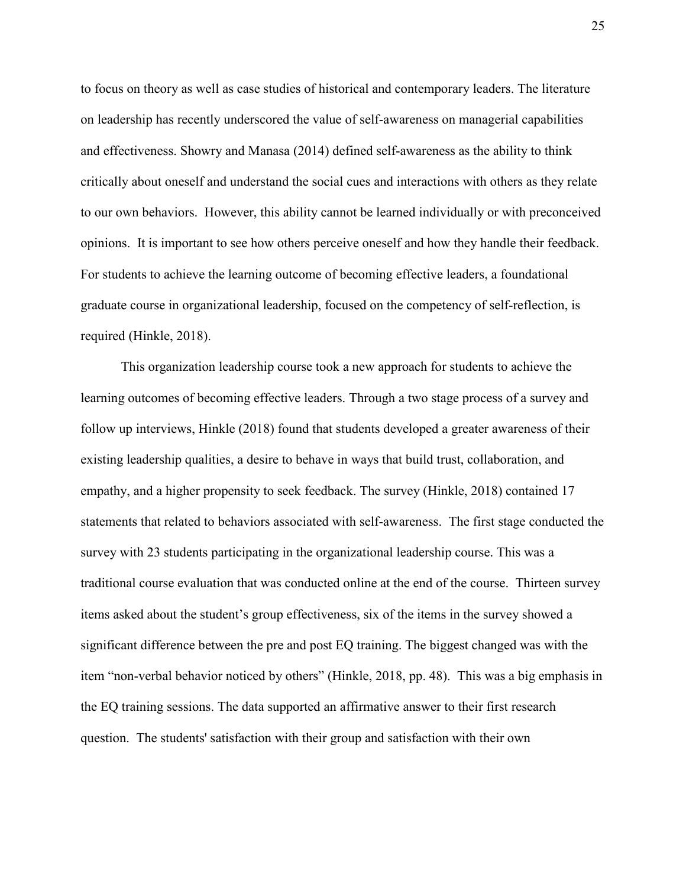to focus on theory as well as case studies of historical and contemporary leaders. The literature on leadership has recently underscored the value of self-awareness on managerial capabilities and effectiveness. Showry and Manasa (2014) defined self-awareness as the ability to think critically about oneself and understand the social cues and interactions with others as they relate to our own behaviors. However, this ability cannot be learned individually or with preconceived opinions. It is important to see how others perceive oneself and how they handle their feedback. For students to achieve the learning outcome of becoming effective leaders, a foundational graduate course in organizational leadership, focused on the competency of self-reflection, is required (Hinkle, 2018).

 This organization leadership course took a new approach for students to achieve the learning outcomes of becoming effective leaders. Through a two stage process of a survey and follow up interviews, Hinkle (2018) found that students developed a greater awareness of their existing leadership qualities, a desire to behave in ways that build trust, collaboration, and empathy, and a higher propensity to seek feedback. The survey (Hinkle, 2018) contained 17 statements that related to behaviors associated with self-awareness. The first stage conducted the survey with 23 students participating in the organizational leadership course. This was a traditional course evaluation that was conducted online at the end of the course. Thirteen survey items asked about the student's group effectiveness, six of the items in the survey showed a significant difference between the pre and post EQ training. The biggest changed was with the item "non-verbal behavior noticed by others" (Hinkle, 2018, pp. 48). This was a big emphasis in the EQ training sessions. The data supported an affirmative answer to their first research question. The students' satisfaction with their group and satisfaction with their own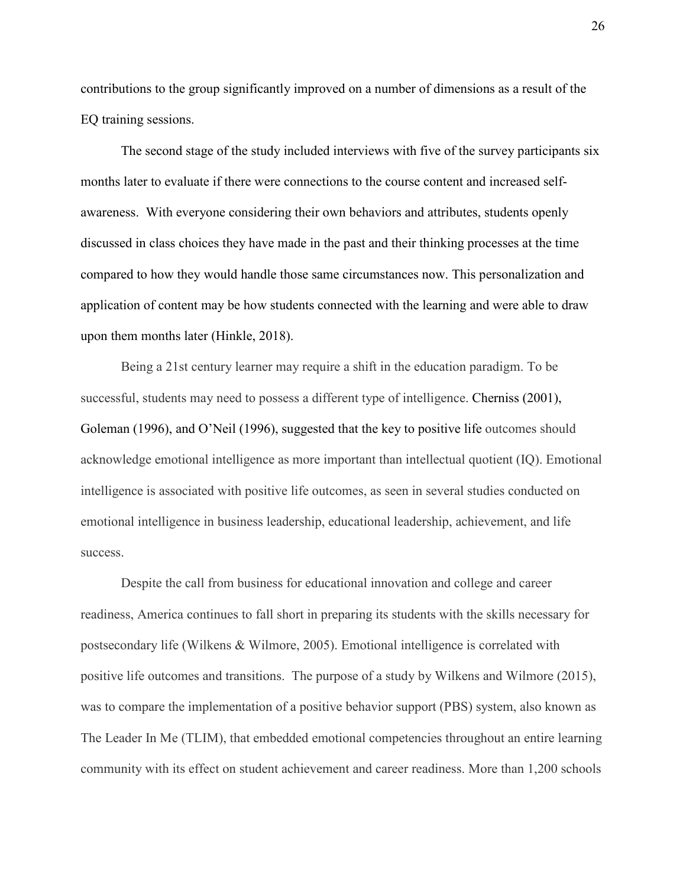contributions to the group significantly improved on a number of dimensions as a result of the EQ training sessions.

The second stage of the study included interviews with five of the survey participants six months later to evaluate if there were connections to the course content and increased selfawareness. With everyone considering their own behaviors and attributes, students openly discussed in class choices they have made in the past and their thinking processes at the time compared to how they would handle those same circumstances now. This personalization and application of content may be how students connected with the learning and were able to draw upon them months later (Hinkle, 2018).

Being a 21st century learner may require a shift in the education paradigm. To be successful, students may need to possess a different type of intelligence. Cherniss (2001), Goleman (1996), and O'Neil (1996), suggested that the key to positive life outcomes should acknowledge emotional intelligence as more important than intellectual quotient (IQ). Emotional intelligence is associated with positive life outcomes, as seen in several studies conducted on emotional intelligence in business leadership, educational leadership, achievement, and life success.

Despite the call from business for educational innovation and college and career readiness, America continues to fall short in preparing its students with the skills necessary for postsecondary life (Wilkens & Wilmore, 2005). Emotional intelligence is correlated with positive life outcomes and transitions. The purpose of a study by Wilkens and Wilmore (2015), was to compare the implementation of a positive behavior support (PBS) system, also known as The Leader In Me (TLIM), that embedded emotional competencies throughout an entire learning community with its effect on student achievement and career readiness. More than 1,200 schools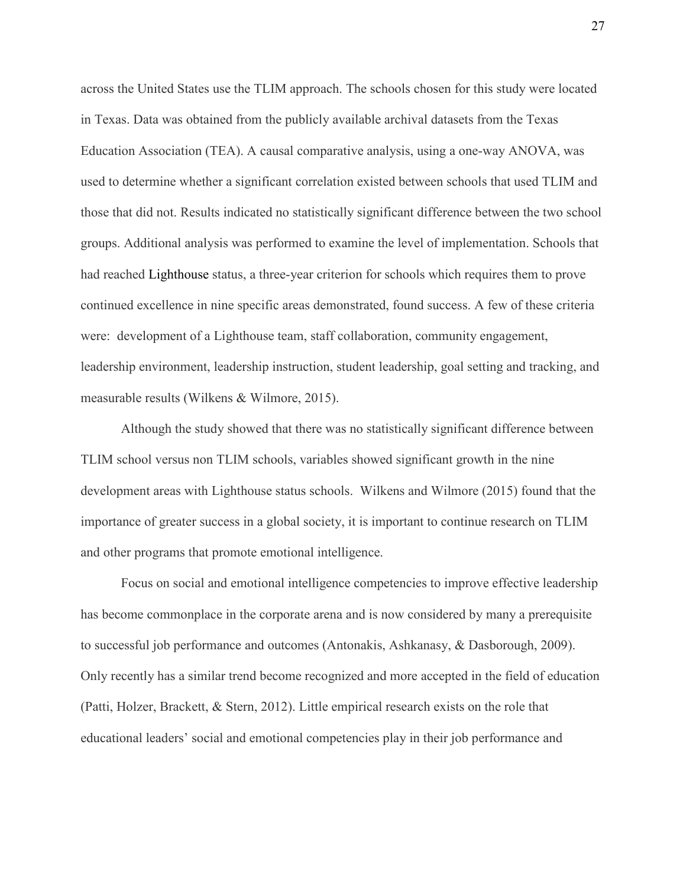across the United States use the TLIM approach. The schools chosen for this study were located in Texas. Data was obtained from the publicly available archival datasets from the Texas Education Association (TEA). A causal comparative analysis, using a one-way ANOVA, was used to determine whether a significant correlation existed between schools that used TLIM and those that did not. Results indicated no statistically significant difference between the two school groups. Additional analysis was performed to examine the level of implementation. Schools that had reached Lighthouse status, a three-year criterion for schools which requires them to prove continued excellence in nine specific areas demonstrated, found success. A few of these criteria were: development of a Lighthouse team, staff collaboration, community engagement, leadership environment, leadership instruction, student leadership, goal setting and tracking, and measurable results (Wilkens & Wilmore, 2015).

Although the study showed that there was no statistically significant difference between TLIM school versus non TLIM schools, variables showed significant growth in the nine development areas with Lighthouse status schools. Wilkens and Wilmore (2015) found that the importance of greater success in a global society, it is important to continue research on TLIM and other programs that promote emotional intelligence.

Focus on social and emotional intelligence competencies to improve effective leadership has become commonplace in the corporate arena and is now considered by many a prerequisite to successful job performance and outcomes (Antonakis, Ashkanasy, & Dasborough, 2009). Only recently has a similar trend become recognized and more accepted in the field of education (Patti, Holzer, Brackett, & Stern, 2012). Little empirical research exists on the role that educational leaders' social and emotional competencies play in their job performance and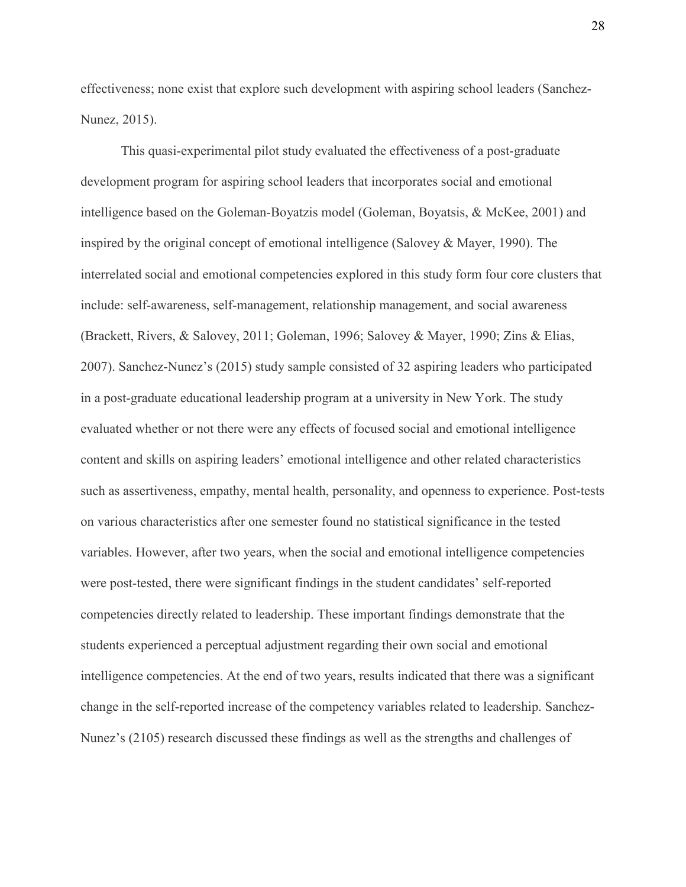effectiveness; none exist that explore such development with aspiring school leaders (Sanchez-Nunez, 2015).

This quasi-experimental pilot study evaluated the effectiveness of a post-graduate development program for aspiring school leaders that incorporates social and emotional intelligence based on the Goleman-Boyatzis model (Goleman, Boyatsis, & McKee, 2001) and inspired by the original concept of emotional intelligence (Salovey & Mayer, 1990). The interrelated social and emotional competencies explored in this study form four core clusters that include: self-awareness, self-management, relationship management, and social awareness (Brackett, Rivers, & Salovey, 2011; Goleman, 1996; Salovey & Mayer, 1990; Zins & Elias, 2007). Sanchez-Nunez's (2015) study sample consisted of 32 aspiring leaders who participated in a post-graduate educational leadership program at a university in New York. The study evaluated whether or not there were any effects of focused social and emotional intelligence content and skills on aspiring leaders' emotional intelligence and other related characteristics such as assertiveness, empathy, mental health, personality, and openness to experience. Post-tests on various characteristics after one semester found no statistical significance in the tested variables. However, after two years, when the social and emotional intelligence competencies were post-tested, there were significant findings in the student candidates' self-reported competencies directly related to leadership. These important findings demonstrate that the students experienced a perceptual adjustment regarding their own social and emotional intelligence competencies. At the end of two years, results indicated that there was a significant change in the self-reported increase of the competency variables related to leadership. Sanchez-Nunez's (2105) research discussed these findings as well as the strengths and challenges of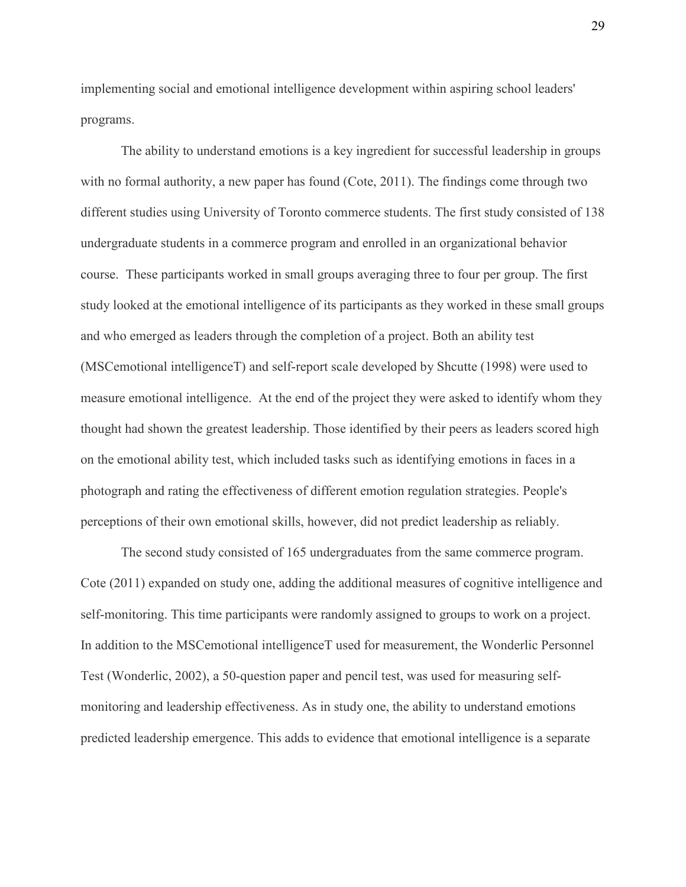implementing social and emotional intelligence development within aspiring school leaders' programs.

The ability to understand emotions is a key ingredient for successful leadership in groups with no formal authority, a new paper has found (Cote, 2011). The findings come through two different studies using University of Toronto commerce students. The first study consisted of 138 undergraduate students in a commerce program and enrolled in an organizational behavior course. These participants worked in small groups averaging three to four per group. The first study looked at the emotional intelligence of its participants as they worked in these small groups and who emerged as leaders through the completion of a project. Both an ability test (MSCemotional intelligenceT) and self-report scale developed by Shcutte (1998) were used to measure emotional intelligence. At the end of the project they were asked to identify whom they thought had shown the greatest leadership. Those identified by their peers as leaders scored high on the emotional ability test, which included tasks such as identifying emotions in faces in a photograph and rating the effectiveness of different emotion regulation strategies. People's perceptions of their own emotional skills, however, did not predict leadership as reliably.

The second study consisted of 165 undergraduates from the same commerce program. Cote (2011) expanded on study one, adding the additional measures of cognitive intelligence and self-monitoring. This time participants were randomly assigned to groups to work on a project. In addition to the MSCemotional intelligenceT used for measurement, the Wonderlic Personnel Test (Wonderlic, 2002), a 50-question paper and pencil test, was used for measuring selfmonitoring and leadership effectiveness. As in study one, the ability to understand emotions predicted leadership emergence. This adds to evidence that emotional intelligence is a separate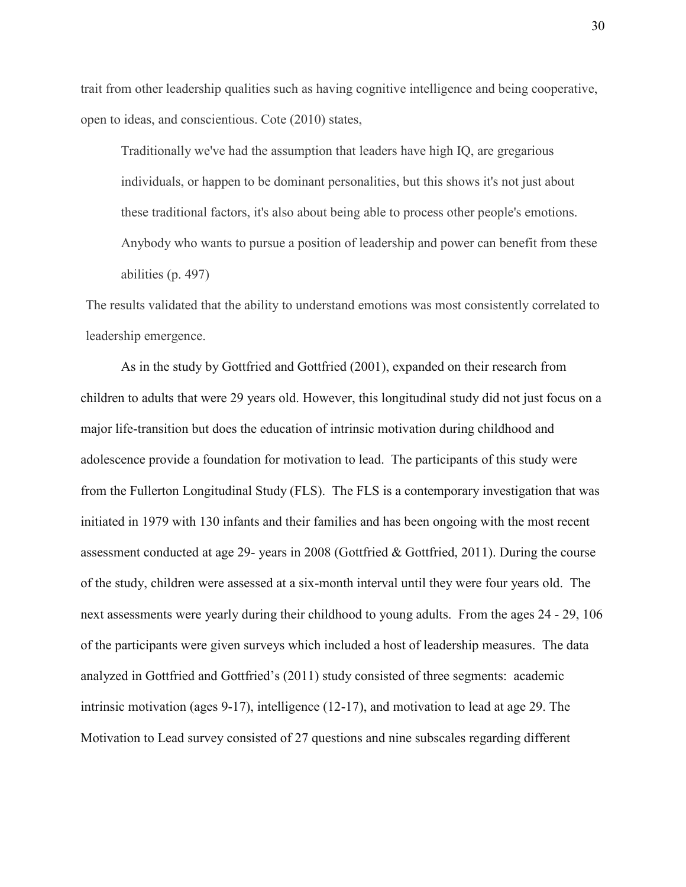trait from other leadership qualities such as having cognitive intelligence and being cooperative, open to ideas, and conscientious. Cote (2010) states,

Traditionally we've had the assumption that leaders have high IQ, are gregarious individuals, or happen to be dominant personalities, but this shows it's not just about these traditional factors, it's also about being able to process other people's emotions. Anybody who wants to pursue a position of leadership and power can benefit from these abilities (p. 497)

The results validated that the ability to understand emotions was most consistently correlated to leadership emergence.

As in the study by Gottfried and Gottfried (2001), expanded on their research from children to adults that were 29 years old. However, this longitudinal study did not just focus on a major life-transition but does the education of intrinsic motivation during childhood and adolescence provide a foundation for motivation to lead. The participants of this study were from the Fullerton Longitudinal Study (FLS). The FLS is a contemporary investigation that was initiated in 1979 with 130 infants and their families and has been ongoing with the most recent assessment conducted at age 29- years in 2008 (Gottfried & Gottfried, 2011). During the course of the study, children were assessed at a six-month interval until they were four years old. The next assessments were yearly during their childhood to young adults. From the ages 24 - 29, 106 of the participants were given surveys which included a host of leadership measures. The data analyzed in Gottfried and Gottfried's (2011) study consisted of three segments: academic intrinsic motivation (ages 9-17), intelligence (12-17), and motivation to lead at age 29. The Motivation to Lead survey consisted of 27 questions and nine subscales regarding different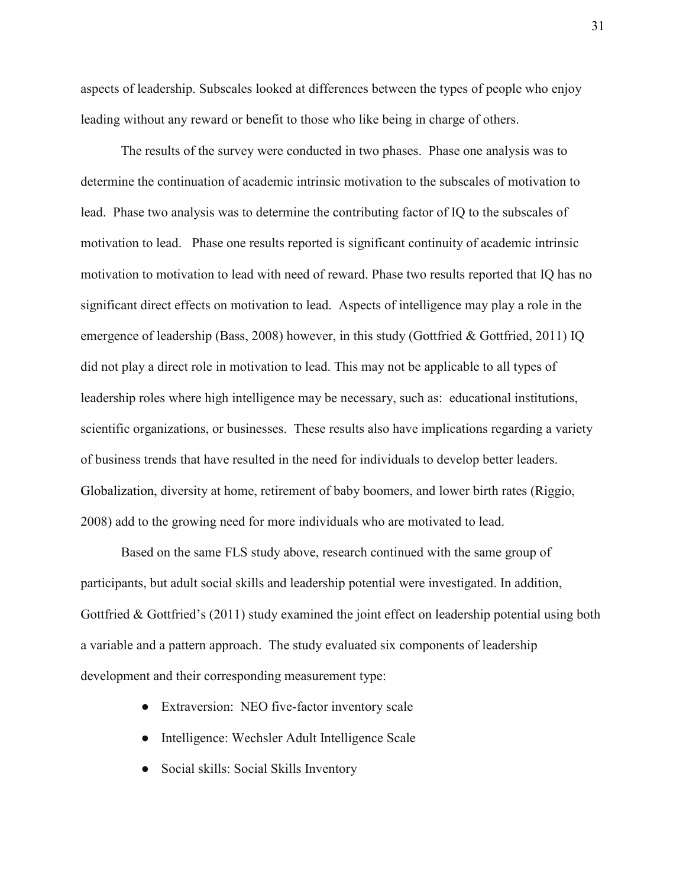aspects of leadership. Subscales looked at differences between the types of people who enjoy leading without any reward or benefit to those who like being in charge of others.

 The results of the survey were conducted in two phases. Phase one analysis was to determine the continuation of academic intrinsic motivation to the subscales of motivation to lead. Phase two analysis was to determine the contributing factor of IQ to the subscales of motivation to lead. Phase one results reported is significant continuity of academic intrinsic motivation to motivation to lead with need of reward. Phase two results reported that IQ has no significant direct effects on motivation to lead. Aspects of intelligence may play a role in the emergence of leadership (Bass, 2008) however, in this study (Gottfried & Gottfried, 2011) IQ did not play a direct role in motivation to lead. This may not be applicable to all types of leadership roles where high intelligence may be necessary, such as: educational institutions, scientific organizations, or businesses. These results also have implications regarding a variety of business trends that have resulted in the need for individuals to develop better leaders. Globalization, diversity at home, retirement of baby boomers, and lower birth rates (Riggio, 2008) add to the growing need for more individuals who are motivated to lead.

Based on the same FLS study above, research continued with the same group of participants, but adult social skills and leadership potential were investigated. In addition, Gottfried & Gottfried's (2011) study examined the joint effect on leadership potential using both a variable and a pattern approach. The study evaluated six components of leadership development and their corresponding measurement type:

- Extraversion: NEO five-factor inventory scale
- Intelligence: Wechsler Adult Intelligence Scale
- Social skills: Social Skills Inventory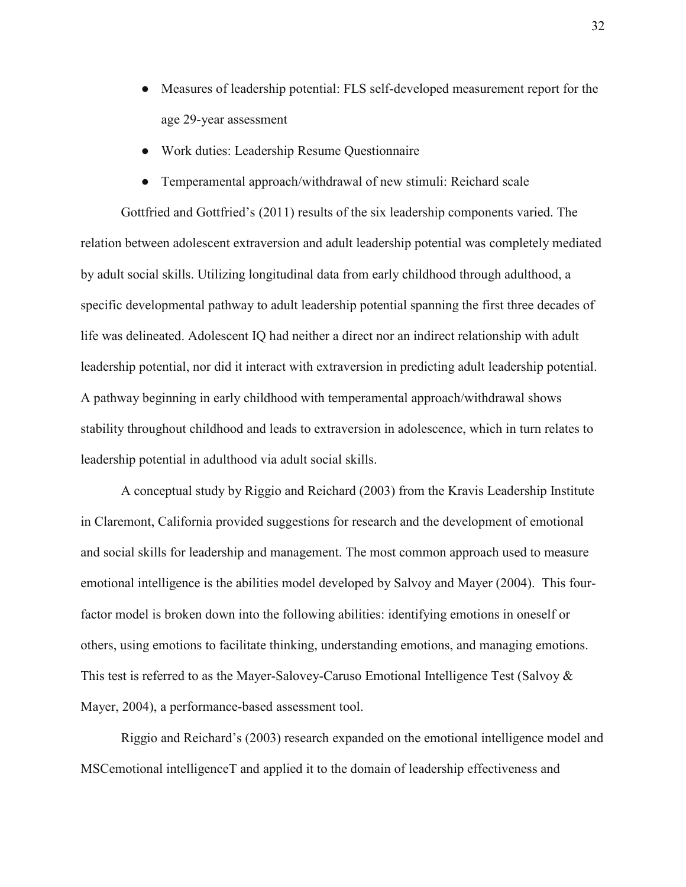- Measures of leadership potential: FLS self-developed measurement report for the age 29-year assessment
- Work duties: Leadership Resume Questionnaire
- Temperamental approach/withdrawal of new stimuli: Reichard scale

Gottfried and Gottfried's (2011) results of the six leadership components varied. The relation between adolescent extraversion and adult leadership potential was completely mediated by adult social skills. Utilizing longitudinal data from early childhood through adulthood, a specific developmental pathway to adult leadership potential spanning the first three decades of life was delineated. Adolescent IQ had neither a direct nor an indirect relationship with adult leadership potential, nor did it interact with extraversion in predicting adult leadership potential. A pathway beginning in early childhood with temperamental approach/withdrawal shows stability throughout childhood and leads to extraversion in adolescence, which in turn relates to leadership potential in adulthood via adult social skills.

 A conceptual study by Riggio and Reichard (2003) from the Kravis Leadership Institute in Claremont, California provided suggestions for research and the development of emotional and social skills for leadership and management. The most common approach used to measure emotional intelligence is the abilities model developed by Salvoy and Mayer (2004). This fourfactor model is broken down into the following abilities: identifying emotions in oneself or others, using emotions to facilitate thinking, understanding emotions, and managing emotions. This test is referred to as the Mayer-Salovey-Caruso Emotional Intelligence Test (Salvoy & Mayer, 2004), a performance-based assessment tool.

Riggio and Reichard's (2003) research expanded on the emotional intelligence model and MSCemotional intelligenceT and applied it to the domain of leadership effectiveness and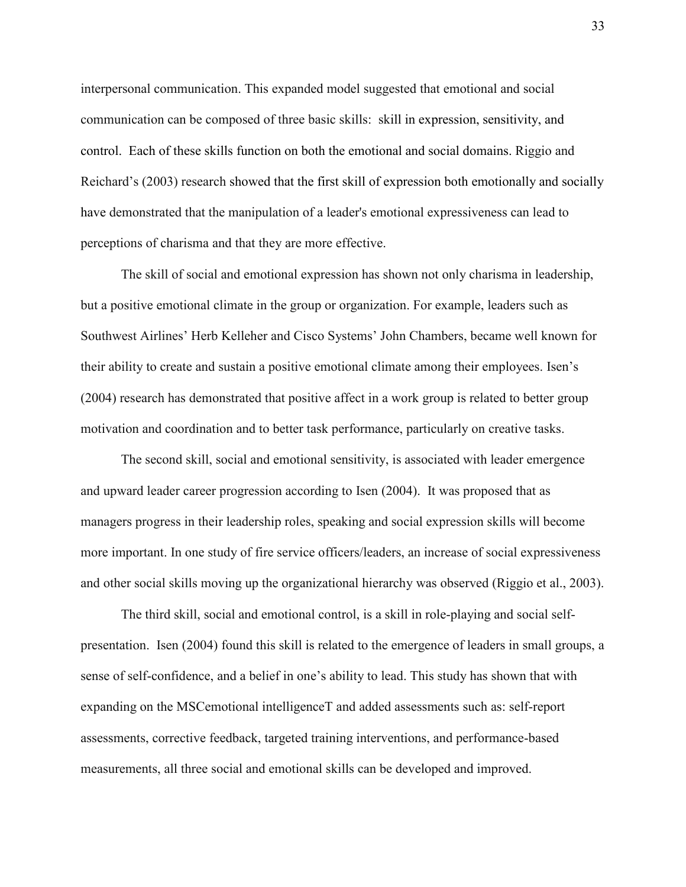interpersonal communication. This expanded model suggested that emotional and social communication can be composed of three basic skills: skill in expression, sensitivity, and control. Each of these skills function on both the emotional and social domains. Riggio and Reichard's (2003) research showed that the first skill of expression both emotionally and socially have demonstrated that the manipulation of a leader's emotional expressiveness can lead to perceptions of charisma and that they are more effective.

The skill of social and emotional expression has shown not only charisma in leadership, but a positive emotional climate in the group or organization. For example, leaders such as Southwest Airlines' Herb Kelleher and Cisco Systems' John Chambers, became well known for their ability to create and sustain a positive emotional climate among their employees. Isen's (2004) research has demonstrated that positive affect in a work group is related to better group motivation and coordination and to better task performance, particularly on creative tasks.

The second skill, social and emotional sensitivity, is associated with leader emergence and upward leader career progression according to Isen (2004). It was proposed that as managers progress in their leadership roles, speaking and social expression skills will become more important. In one study of fire service officers/leaders, an increase of social expressiveness and other social skills moving up the organizational hierarchy was observed (Riggio et al., 2003).

The third skill, social and emotional control, is a skill in role-playing and social selfpresentation. Isen (2004) found this skill is related to the emergence of leaders in small groups, a sense of self-confidence, and a belief in one's ability to lead. This study has shown that with expanding on the MSCemotional intelligenceT and added assessments such as: self-report assessments, corrective feedback, targeted training interventions, and performance-based measurements, all three social and emotional skills can be developed and improved.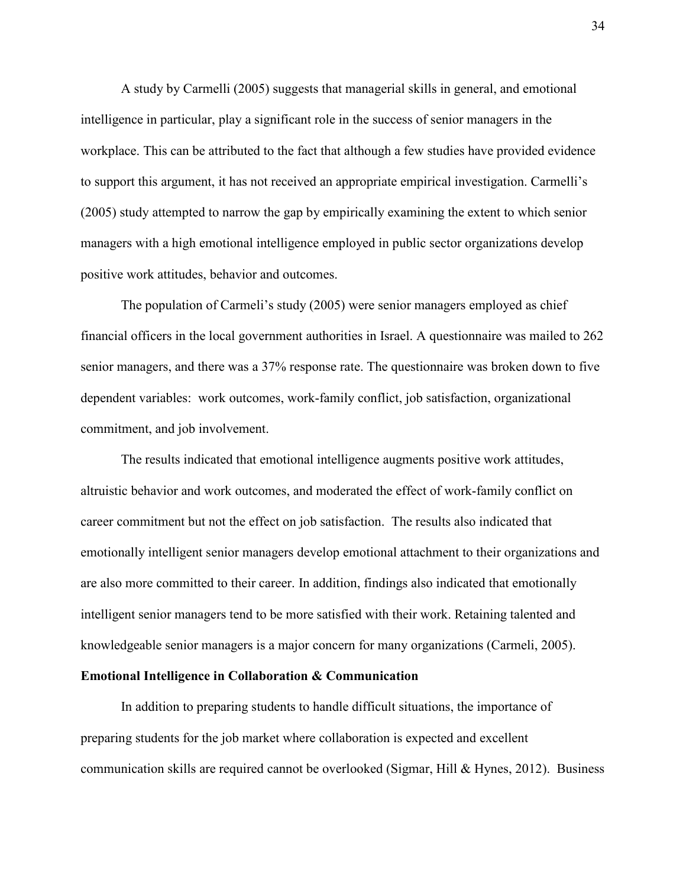A study by Carmelli (2005) suggests that managerial skills in general, and emotional intelligence in particular, play a significant role in the success of senior managers in the workplace. This can be attributed to the fact that although a few studies have provided evidence to support this argument, it has not received an appropriate empirical investigation. Carmelli's (2005) study attempted to narrow the gap by empirically examining the extent to which senior managers with a high emotional intelligence employed in public sector organizations develop positive work attitudes, behavior and outcomes.

The population of Carmeli's study (2005) were senior managers employed as chief financial officers in the local government authorities in Israel. A questionnaire was mailed to 262 senior managers, and there was a 37% response rate. The questionnaire was broken down to five dependent variables: work outcomes, work-family conflict, job satisfaction, organizational commitment, and job involvement.

The results indicated that emotional intelligence augments positive work attitudes, altruistic behavior and work outcomes, and moderated the effect of work-family conflict on career commitment but not the effect on job satisfaction. The results also indicated that emotionally intelligent senior managers develop emotional attachment to their organizations and are also more committed to their career. In addition, findings also indicated that emotionally intelligent senior managers tend to be more satisfied with their work. Retaining talented and knowledgeable senior managers is a major concern for many organizations (Carmeli, 2005).

#### **Emotional Intelligence in Collaboration & Communication**

In addition to preparing students to handle difficult situations, the importance of preparing students for the job market where collaboration is expected and excellent communication skills are required cannot be overlooked (Sigmar, Hill & Hynes, 2012). Business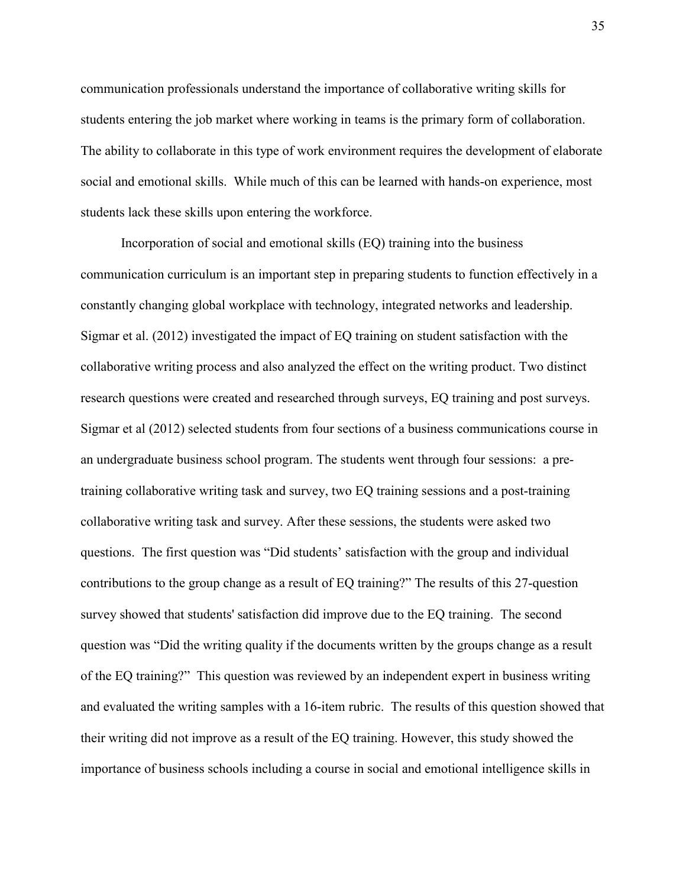communication professionals understand the importance of collaborative writing skills for students entering the job market where working in teams is the primary form of collaboration. The ability to collaborate in this type of work environment requires the development of elaborate social and emotional skills. While much of this can be learned with hands-on experience, most students lack these skills upon entering the workforce.

Incorporation of social and emotional skills (EQ) training into the business communication curriculum is an important step in preparing students to function effectively in a constantly changing global workplace with technology, integrated networks and leadership. Sigmar et al. (2012) investigated the impact of EQ training on student satisfaction with the collaborative writing process and also analyzed the effect on the writing product. Two distinct research questions were created and researched through surveys, EQ training and post surveys. Sigmar et al (2012) selected students from four sections of a business communications course in an undergraduate business school program. The students went through four sessions: a pretraining collaborative writing task and survey, two EQ training sessions and a post-training collaborative writing task and survey. After these sessions, the students were asked two questions. The first question was "Did students' satisfaction with the group and individual contributions to the group change as a result of EQ training?" The results of this 27-question survey showed that students' satisfaction did improve due to the EQ training. The second question was "Did the writing quality if the documents written by the groups change as a result of the EQ training?" This question was reviewed by an independent expert in business writing and evaluated the writing samples with a 16-item rubric. The results of this question showed that their writing did not improve as a result of the EQ training. However, this study showed the importance of business schools including a course in social and emotional intelligence skills in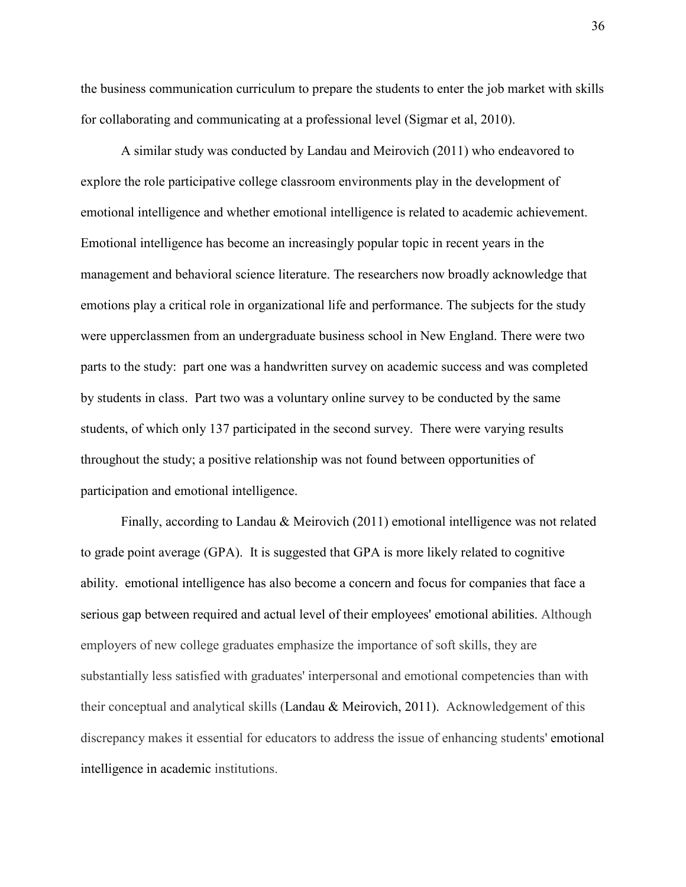the business communication curriculum to prepare the students to enter the job market with skills for collaborating and communicating at a professional level (Sigmar et al, 2010).

A similar study was conducted by Landau and Meirovich (2011) who endeavored to explore the role participative college classroom environments play in the development of emotional intelligence and whether emotional intelligence is related to academic achievement. Emotional intelligence has become an increasingly popular topic in recent years in the management and behavioral science literature. The researchers now broadly acknowledge that emotions play a critical role in organizational life and performance. The subjects for the study were upperclassmen from an undergraduate business school in New England. There were two parts to the study: part one was a handwritten survey on academic success and was completed by students in class. Part two was a voluntary online survey to be conducted by the same students, of which only 137 participated in the second survey. There were varying results throughout the study; a positive relationship was not found between opportunities of participation and emotional intelligence.

Finally, according to Landau & Meirovich (2011) emotional intelligence was not related to grade point average (GPA). It is suggested that GPA is more likely related to cognitive ability. emotional intelligence has also become a concern and focus for companies that face a serious gap between required and actual level of their employees' emotional abilities. Although employers of new college graduates emphasize the importance of soft skills, they are substantially less satisfied with graduates' interpersonal and emotional competencies than with their conceptual and analytical skills (Landau & Meirovich, 2011). Acknowledgement of this discrepancy makes it essential for educators to address the issue of enhancing students' emotional intelligence in academic institutions.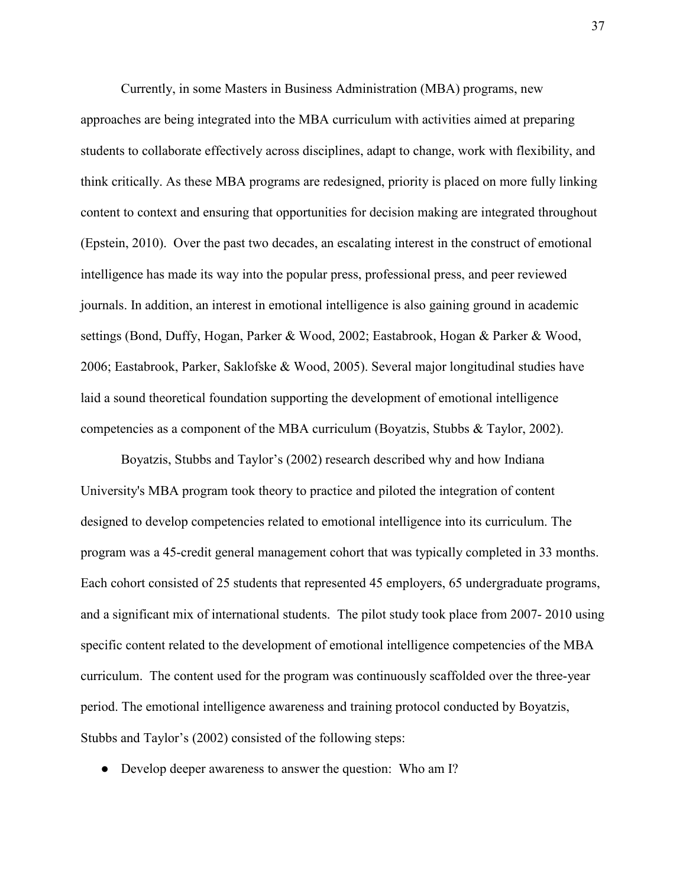Currently, in some Masters in Business Administration (MBA) programs, new approaches are being integrated into the MBA curriculum with activities aimed at preparing students to collaborate effectively across disciplines, adapt to change, work with flexibility, and think critically. As these MBA programs are redesigned, priority is placed on more fully linking content to context and ensuring that opportunities for decision making are integrated throughout (Epstein, 2010). Over the past two decades, an escalating interest in the construct of emotional intelligence has made its way into the popular press, professional press, and peer reviewed journals. In addition, an interest in emotional intelligence is also gaining ground in academic settings (Bond, Duffy, Hogan, Parker & Wood, 2002; Eastabrook, Hogan & Parker & Wood, 2006; Eastabrook, Parker, Saklofske & Wood, 2005). Several major longitudinal studies have laid a sound theoretical foundation supporting the development of emotional intelligence competencies as a component of the MBA curriculum (Boyatzis, Stubbs & Taylor, 2002).

Boyatzis, Stubbs and Taylor's (2002) research described why and how Indiana University's MBA program took theory to practice and piloted the integration of content designed to develop competencies related to emotional intelligence into its curriculum. The program was a 45-credit general management cohort that was typically completed in 33 months. Each cohort consisted of 25 students that represented 45 employers, 65 undergraduate programs, and a significant mix of international students. The pilot study took place from 2007- 2010 using specific content related to the development of emotional intelligence competencies of the MBA curriculum. The content used for the program was continuously scaffolded over the three-year period. The emotional intelligence awareness and training protocol conducted by Boyatzis, Stubbs and Taylor's (2002) consisted of the following steps:

• Develop deeper awareness to answer the question: Who am I?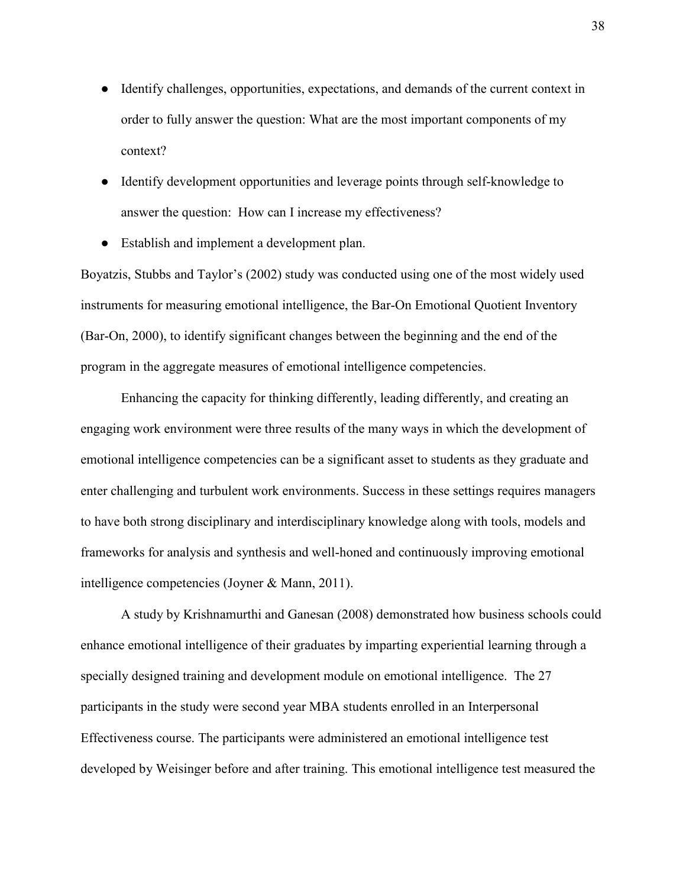- Identify challenges, opportunities, expectations, and demands of the current context in order to fully answer the question: What are the most important components of my context?
- Identify development opportunities and leverage points through self-knowledge to answer the question: How can I increase my effectiveness?
- Establish and implement a development plan.

Boyatzis, Stubbs and Taylor's (2002) study was conducted using one of the most widely used instruments for measuring emotional intelligence, the Bar-On Emotional Quotient Inventory (Bar-On, 2000), to identify significant changes between the beginning and the end of the program in the aggregate measures of emotional intelligence competencies.

Enhancing the capacity for thinking differently, leading differently, and creating an engaging work environment were three results of the many ways in which the development of emotional intelligence competencies can be a significant asset to students as they graduate and enter challenging and turbulent work environments. Success in these settings requires managers to have both strong disciplinary and interdisciplinary knowledge along with tools, models and frameworks for analysis and synthesis and well-honed and continuously improving emotional intelligence competencies (Joyner & Mann, 2011).

A study by Krishnamurthi and Ganesan (2008) demonstrated how business schools could enhance emotional intelligence of their graduates by imparting experiential learning through a specially designed training and development module on emotional intelligence. The 27 participants in the study were second year MBA students enrolled in an Interpersonal Effectiveness course. The participants were administered an emotional intelligence test developed by Weisinger before and after training. This emotional intelligence test measured the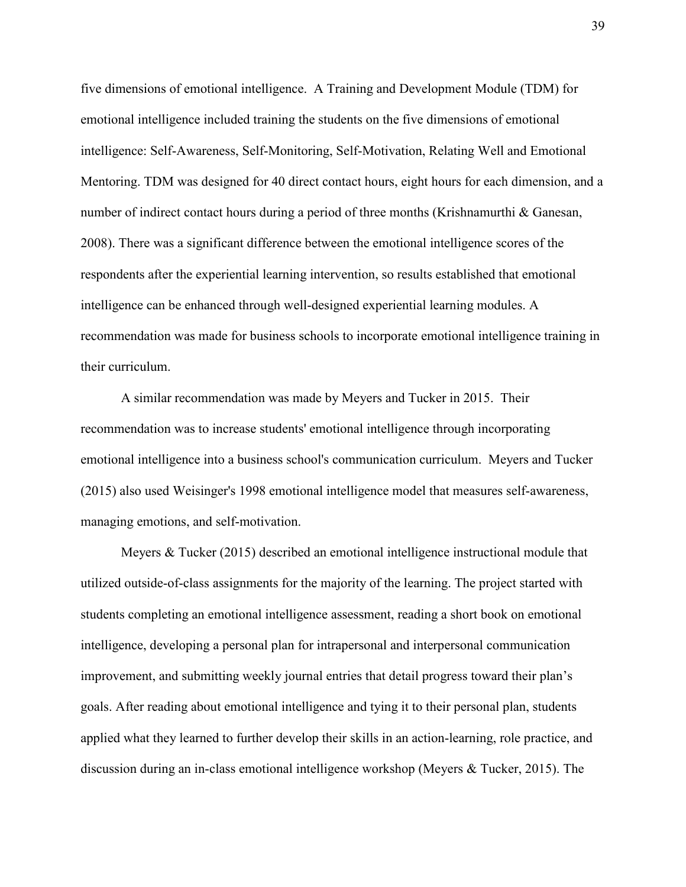five dimensions of emotional intelligence. A Training and Development Module (TDM) for emotional intelligence included training the students on the five dimensions of emotional intelligence: Self-Awareness, Self-Monitoring, Self-Motivation, Relating Well and Emotional Mentoring. TDM was designed for 40 direct contact hours, eight hours for each dimension, and a number of indirect contact hours during a period of three months (Krishnamurthi & Ganesan, 2008). There was a significant difference between the emotional intelligence scores of the respondents after the experiential learning intervention, so results established that emotional intelligence can be enhanced through well-designed experiential learning modules. A recommendation was made for business schools to incorporate emotional intelligence training in their curriculum.

A similar recommendation was made by Meyers and Tucker in 2015. Their recommendation was to increase students' emotional intelligence through incorporating emotional intelligence into a business school's communication curriculum. Meyers and Tucker (2015) also used Weisinger's 1998 emotional intelligence model that measures self-awareness, managing emotions, and self-motivation.

Meyers & Tucker (2015) described an emotional intelligence instructional module that utilized outside-of-class assignments for the majority of the learning. The project started with students completing an emotional intelligence assessment, reading a short book on emotional intelligence, developing a personal plan for intrapersonal and interpersonal communication improvement, and submitting weekly journal entries that detail progress toward their plan's goals. After reading about emotional intelligence and tying it to their personal plan, students applied what they learned to further develop their skills in an action-learning, role practice, and discussion during an in-class emotional intelligence workshop (Meyers & Tucker, 2015). The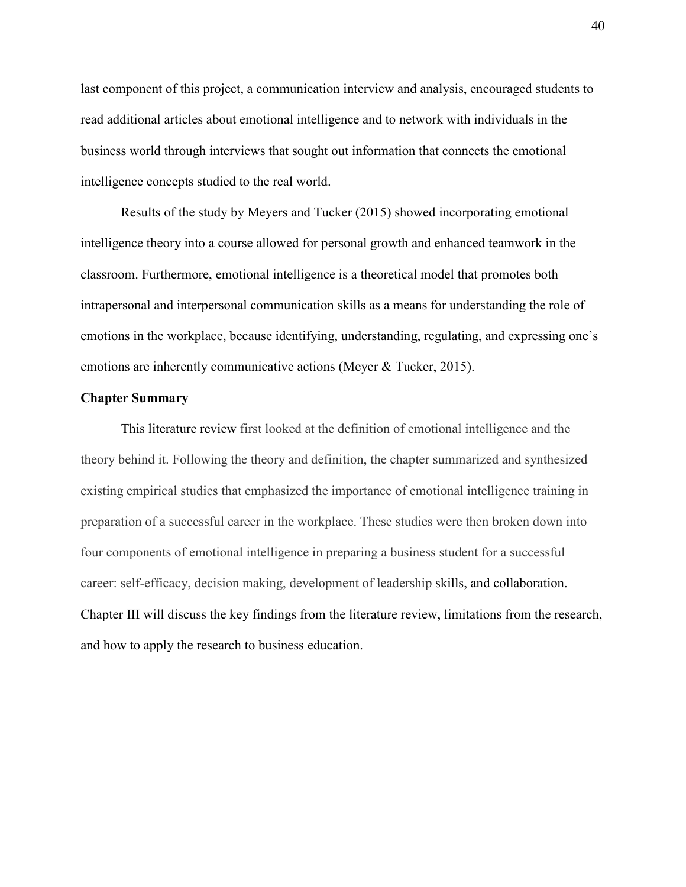last component of this project, a communication interview and analysis, encouraged students to read additional articles about emotional intelligence and to network with individuals in the business world through interviews that sought out information that connects the emotional intelligence concepts studied to the real world.

Results of the study by Meyers and Tucker (2015) showed incorporating emotional intelligence theory into a course allowed for personal growth and enhanced teamwork in the classroom. Furthermore, emotional intelligence is a theoretical model that promotes both intrapersonal and interpersonal communication skills as a means for understanding the role of emotions in the workplace, because identifying, understanding, regulating, and expressing one's emotions are inherently communicative actions (Meyer & Tucker, 2015).

#### **Chapter Summary**

This literature review first looked at the definition of emotional intelligence and the theory behind it. Following the theory and definition, the chapter summarized and synthesized existing empirical studies that emphasized the importance of emotional intelligence training in preparation of a successful career in the workplace. These studies were then broken down into four components of emotional intelligence in preparing a business student for a successful career: self-efficacy, decision making, development of leadership skills, and collaboration. Chapter III will discuss the key findings from the literature review, limitations from the research, and how to apply the research to business education.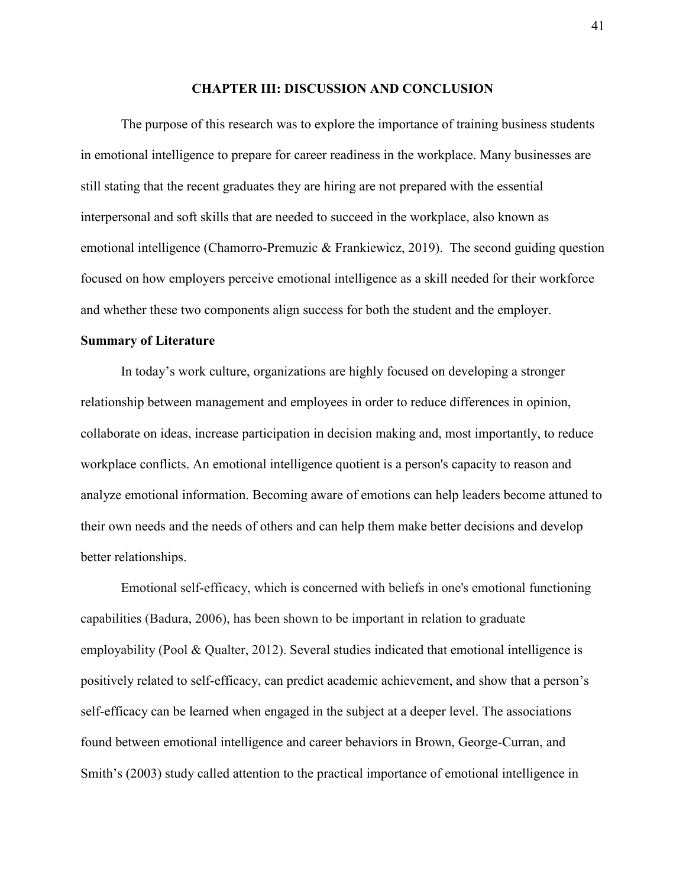#### **CHAPTER III: DISCUSSION AND CONCLUSION**

The purpose of this research was to explore the importance of training business students in emotional intelligence to prepare for career readiness in the workplace. Many businesses are still stating that the recent graduates they are hiring are not prepared with the essential interpersonal and soft skills that are needed to succeed in the workplace, also known as emotional intelligence (Chamorro-Premuzic & Frankiewicz, 2019). The second guiding question focused on how employers perceive emotional intelligence as a skill needed for their workforce and whether these two components align success for both the student and the employer.

#### **Summary of Literature**

In today's work culture, organizations are highly focused on developing a stronger relationship between management and employees in order to reduce differences in opinion, collaborate on ideas, increase participation in decision making and, most importantly, to reduce workplace conflicts. An emotional intelligence quotient is a person's capacity to reason and analyze emotional information. Becoming aware of emotions can help leaders become attuned to their own needs and the needs of others and can help them make better decisions and develop better relationships.

Emotional self-efficacy, which is concerned with beliefs in one's emotional functioning capabilities (Badura, 2006), has been shown to be important in relation to graduate employability (Pool & Qualter, 2012). Several studies indicated that emotional intelligence is positively related to self-efficacy, can predict academic achievement, and show that a person's self-efficacy can be learned when engaged in the subject at a deeper level. The associations found between emotional intelligence and career behaviors in Brown, George-Curran, and Smith's (2003) study called attention to the practical importance of emotional intelligence in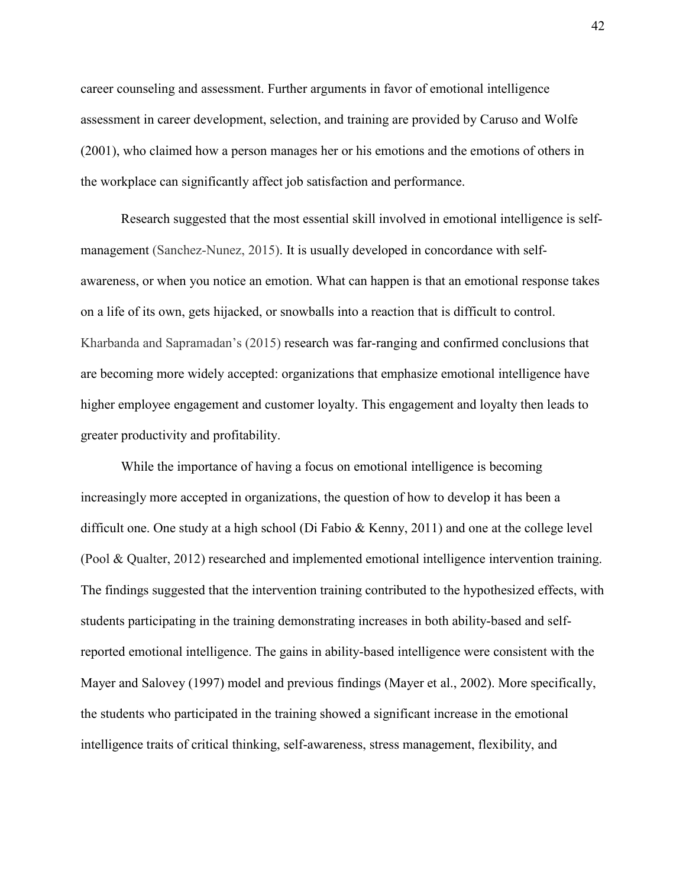career counseling and assessment. Further arguments in favor of emotional intelligence assessment in career development, selection, and training are provided by Caruso and Wolfe (2001), who claimed how a person manages her or his emotions and the emotions of others in the workplace can significantly affect job satisfaction and performance.

Research suggested that the most essential skill involved in emotional intelligence is selfmanagement (Sanchez-Nunez, 2015). It is usually developed in concordance with selfawareness, or when you notice an emotion. What can happen is that an emotional response takes on a life of its own, gets hijacked, or snowballs into a reaction that is difficult to control. Kharbanda and Sapramadan's (2015) research was far-ranging and confirmed conclusions that are becoming more widely accepted: organizations that emphasize emotional intelligence have higher employee engagement and customer loyalty. This engagement and loyalty then leads to greater productivity and profitability.

While the importance of having a focus on emotional intelligence is becoming increasingly more accepted in organizations, the question of how to develop it has been a difficult one. One study at a high school (Di Fabio & Kenny, 2011) and one at the college level (Pool & Qualter, 2012) researched and implemented emotional intelligence intervention training. The findings suggested that the intervention training contributed to the hypothesized effects, with students participating in the training demonstrating increases in both ability-based and selfreported emotional intelligence. The gains in ability-based intelligence were consistent with the Mayer and Salovey (1997) model and previous findings (Mayer et al., 2002). More specifically, the students who participated in the training showed a significant increase in the emotional intelligence traits of critical thinking, self-awareness, stress management, flexibility, and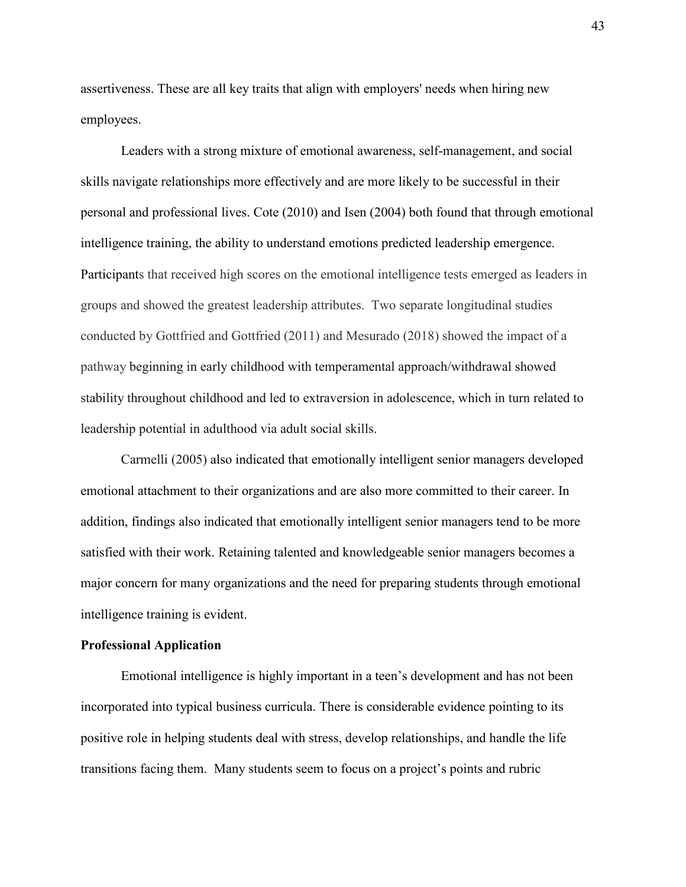assertiveness. These are all key traits that align with employers' needs when hiring new employees.

Leaders with a strong mixture of emotional awareness, self-management, and social skills navigate relationships more effectively and are more likely to be successful in their personal and professional lives. Cote (2010) and Isen (2004) both found that through emotional intelligence training, the ability to understand emotions predicted leadership emergence. Participants that received high scores on the emotional intelligence tests emerged as leaders in groups and showed the greatest leadership attributes. Two separate longitudinal studies conducted by Gottfried and Gottfried (2011) and Mesurado (2018) showed the impact of a pathway beginning in early childhood with temperamental approach/withdrawal showed stability throughout childhood and led to extraversion in adolescence, which in turn related to leadership potential in adulthood via adult social skills.

Carmelli (2005) also indicated that emotionally intelligent senior managers developed emotional attachment to their organizations and are also more committed to their career. In addition, findings also indicated that emotionally intelligent senior managers tend to be more satisfied with their work. Retaining talented and knowledgeable senior managers becomes a major concern for many organizations and the need for preparing students through emotional intelligence training is evident.

#### **Professional Application**

Emotional intelligence is highly important in a teen's development and has not been incorporated into typical business curricula. There is considerable evidence pointing to its positive role in helping students deal with stress, develop relationships, and handle the life transitions facing them. Many students seem to focus on a project's points and rubric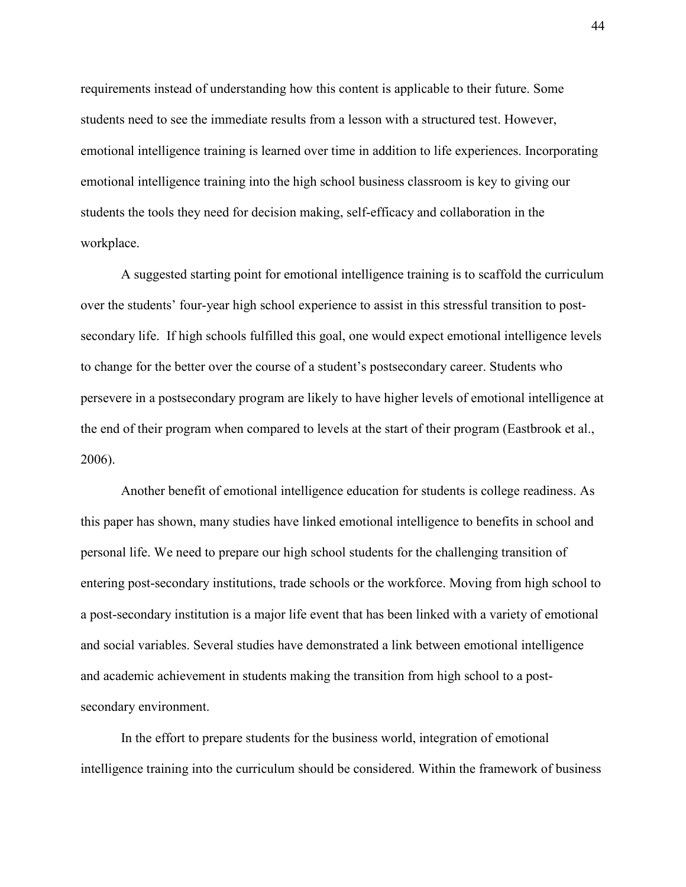requirements instead of understanding how this content is applicable to their future. Some students need to see the immediate results from a lesson with a structured test. However, emotional intelligence training is learned over time in addition to life experiences. Incorporating emotional intelligence training into the high school business classroom is key to giving our students the tools they need for decision making, self-efficacy and collaboration in the workplace.

A suggested starting point for emotional intelligence training is to scaffold the curriculum over the students' four-year high school experience to assist in this stressful transition to postsecondary life. If high schools fulfilled this goal, one would expect emotional intelligence levels to change for the better over the course of a student's postsecondary career. Students who persevere in a postsecondary program are likely to have higher levels of emotional intelligence at the end of their program when compared to levels at the start of their program (Eastbrook et al., 2006).

Another benefit of emotional intelligence education for students is college readiness. As this paper has shown, many studies have linked emotional intelligence to benefits in school and personal life. We need to prepare our high school students for the challenging transition of entering post-secondary institutions, trade schools or the workforce. Moving from high school to a post-secondary institution is a major life event that has been linked with a variety of emotional and social variables. Several studies have demonstrated a link between emotional intelligence and academic achievement in students making the transition from high school to a postsecondary environment.

In the effort to prepare students for the business world, integration of emotional intelligence training into the curriculum should be considered. Within the framework of business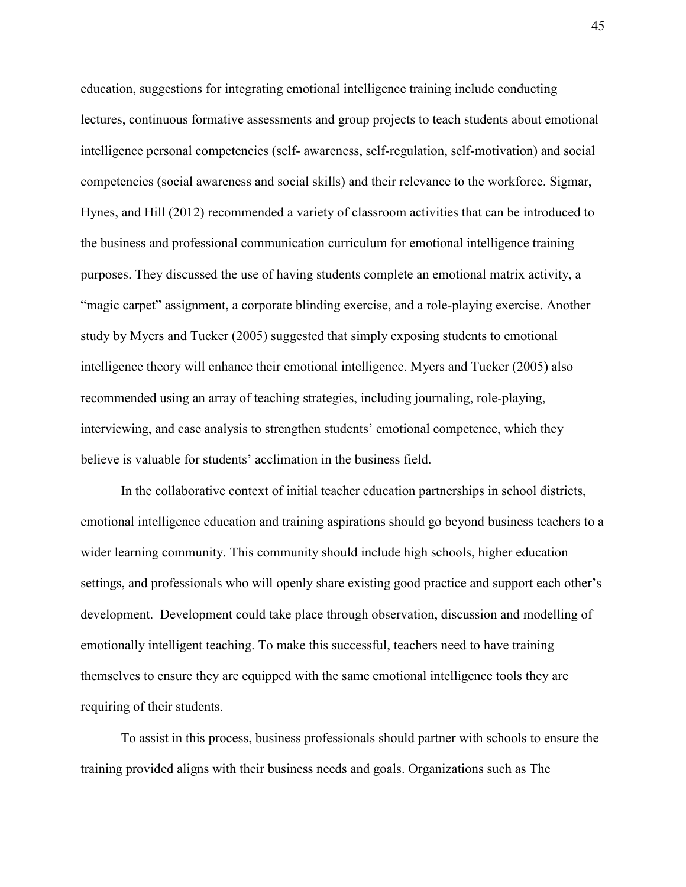education, suggestions for integrating emotional intelligence training include conducting lectures, continuous formative assessments and group projects to teach students about emotional intelligence personal competencies (self- awareness, self-regulation, self-motivation) and social competencies (social awareness and social skills) and their relevance to the workforce. Sigmar, Hynes, and Hill (2012) recommended a variety of classroom activities that can be introduced to the business and professional communication curriculum for emotional intelligence training purposes. They discussed the use of having students complete an emotional matrix activity, a "magic carpet" assignment, a corporate blinding exercise, and a role-playing exercise. Another study by Myers and Tucker (2005) suggested that simply exposing students to emotional intelligence theory will enhance their emotional intelligence. Myers and Tucker (2005) also recommended using an array of teaching strategies, including journaling, role-playing, interviewing, and case analysis to strengthen students' emotional competence, which they believe is valuable for students' acclimation in the business field.

In the collaborative context of initial teacher education partnerships in school districts, emotional intelligence education and training aspirations should go beyond business teachers to a wider learning community. This community should include high schools, higher education settings, and professionals who will openly share existing good practice and support each other's development. Development could take place through observation, discussion and modelling of emotionally intelligent teaching. To make this successful, teachers need to have training themselves to ensure they are equipped with the same emotional intelligence tools they are requiring of their students.

To assist in this process, business professionals should partner with schools to ensure the training provided aligns with their business needs and goals. Organizations such as The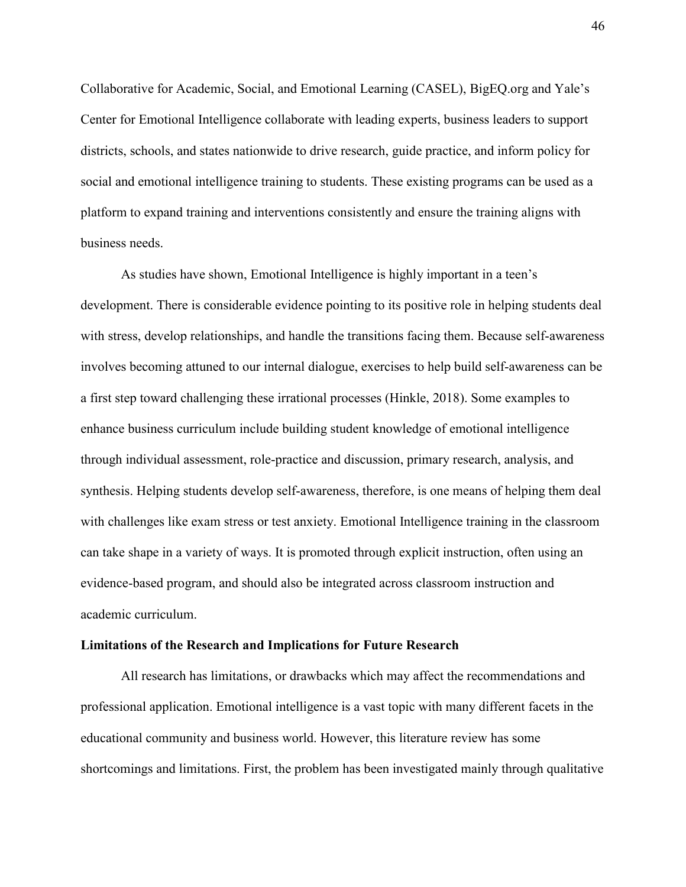Collaborative for Academic, Social, and Emotional Learning (CASEL), BigEQ.org and Yale's Center for Emotional Intelligence collaborate with leading experts, business leaders to support districts, schools, and states nationwide to drive research, guide practice, and inform policy for social and emotional intelligence training to students. These existing programs can be used as a platform to expand training and interventions consistently and ensure the training aligns with business needs.

As studies have shown, Emotional Intelligence is highly important in a teen's development. There is considerable evidence pointing to its positive role in helping students deal with stress, develop relationships, and handle the transitions facing them. Because self-awareness involves becoming attuned to our internal dialogue, exercises to help build self-awareness can be a first step toward challenging these irrational processes (Hinkle, 2018). Some examples to enhance business curriculum include building student knowledge of emotional intelligence through individual assessment, role-practice and discussion, primary research, analysis, and synthesis. Helping students develop self-awareness, therefore, is one means of helping them deal with challenges like exam stress or test anxiety. Emotional Intelligence training in the classroom can take shape in a variety of ways. It is promoted through explicit instruction, often using an evidence-based program, and should also be integrated across classroom instruction and academic curriculum.

#### **Limitations of the Research and Implications for Future Research**

All research has limitations, or drawbacks which may affect the recommendations and professional application. Emotional intelligence is a vast topic with many different facets in the educational community and business world. However, this literature review has some shortcomings and limitations. First, the problem has been investigated mainly through qualitative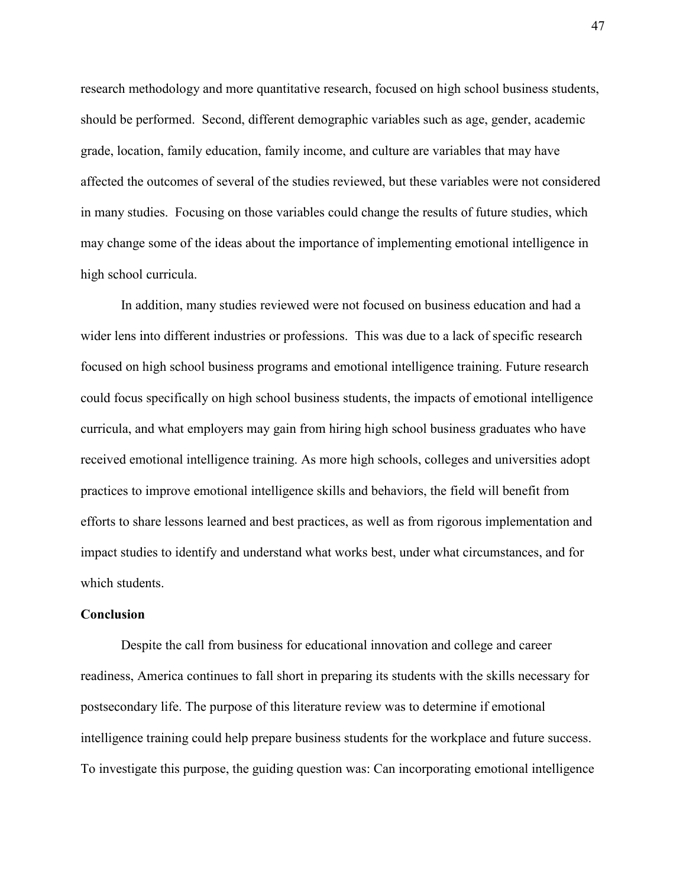research methodology and more quantitative research, focused on high school business students, should be performed. Second, different demographic variables such as age, gender, academic grade, location, family education, family income, and culture are variables that may have affected the outcomes of several of the studies reviewed, but these variables were not considered in many studies. Focusing on those variables could change the results of future studies, which may change some of the ideas about the importance of implementing emotional intelligence in high school curricula.

In addition, many studies reviewed were not focused on business education and had a wider lens into different industries or professions. This was due to a lack of specific research focused on high school business programs and emotional intelligence training. Future research could focus specifically on high school business students, the impacts of emotional intelligence curricula, and what employers may gain from hiring high school business graduates who have received emotional intelligence training. As more high schools, colleges and universities adopt practices to improve emotional intelligence skills and behaviors, the field will benefit from efforts to share lessons learned and best practices, as well as from rigorous implementation and impact studies to identify and understand what works best, under what circumstances, and for which students.

#### **Conclusion**

 Despite the call from business for educational innovation and college and career readiness, America continues to fall short in preparing its students with the skills necessary for postsecondary life. The purpose of this literature review was to determine if emotional intelligence training could help prepare business students for the workplace and future success. To investigate this purpose, the guiding question was: Can incorporating emotional intelligence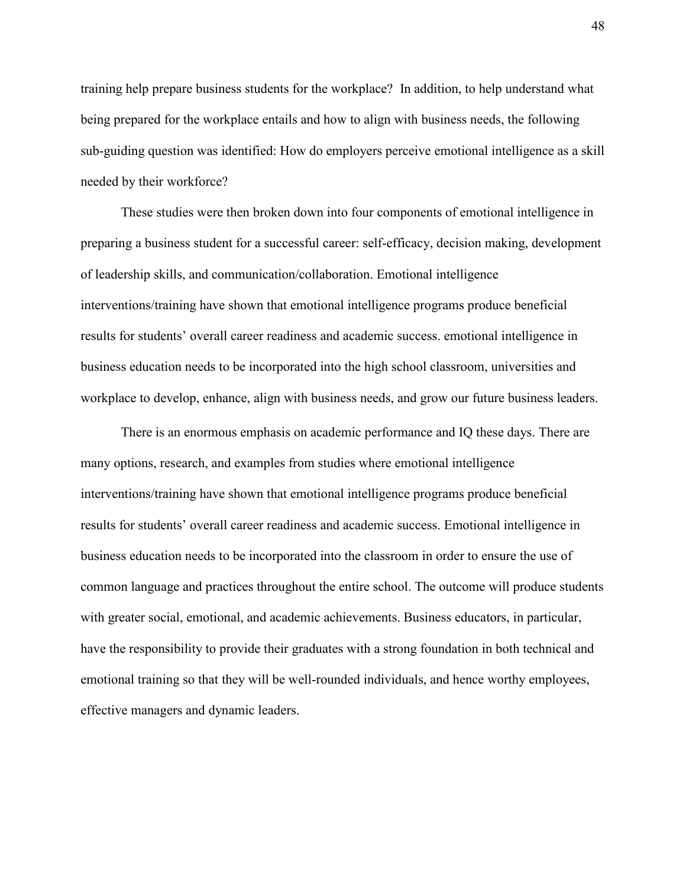training help prepare business students for the workplace? In addition, to help understand what being prepared for the workplace entails and how to align with business needs, the following sub-guiding question was identified: How do employers perceive emotional intelligence as a skill needed by their workforce?

These studies were then broken down into four components of emotional intelligence in preparing a business student for a successful career: self-efficacy, decision making, development of leadership skills, and communication/collaboration. Emotional intelligence interventions/training have shown that emotional intelligence programs produce beneficial results for students' overall career readiness and academic success. emotional intelligence in business education needs to be incorporated into the high school classroom, universities and workplace to develop, enhance, align with business needs, and grow our future business leaders.

There is an enormous emphasis on academic performance and IQ these days. There are many options, research, and examples from studies where emotional intelligence interventions/training have shown that emotional intelligence programs produce beneficial results for students' overall career readiness and academic success. Emotional intelligence in business education needs to be incorporated into the classroom in order to ensure the use of common language and practices throughout the entire school. The outcome will produce students with greater social, emotional, and academic achievements. Business educators, in particular, have the responsibility to provide their graduates with a strong foundation in both technical and emotional training so that they will be well-rounded individuals, and hence worthy employees, effective managers and dynamic leaders.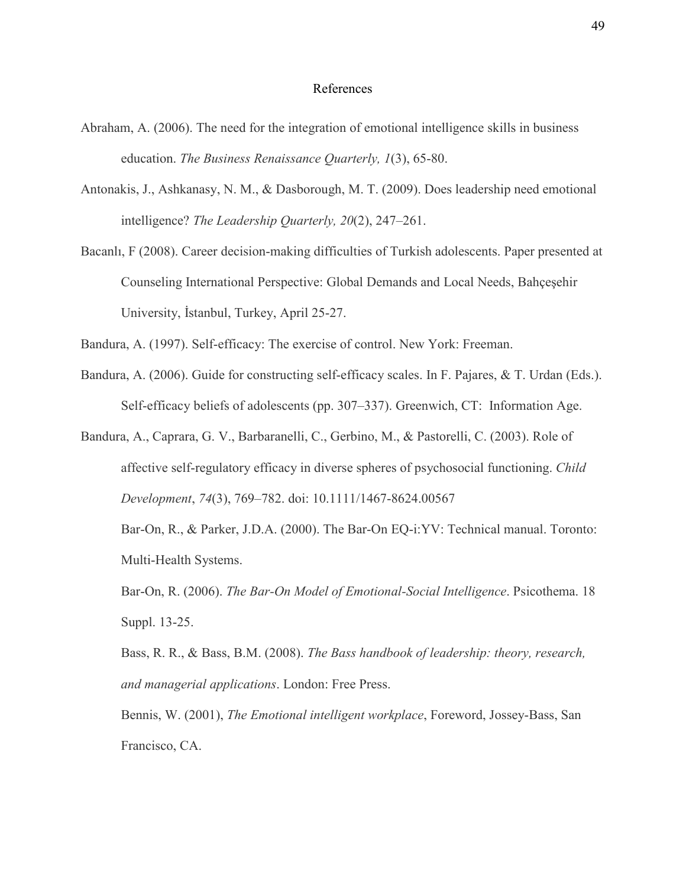#### References

- Abraham, A. (2006). The need for the integration of emotional intelligence skills in business education. *The Business Renaissance Quarterly, 1*(3), 65-80.
- Antonakis, J., Ashkanasy, N. M., & Dasborough, M. T. (2009). Does leadership need emotional intelligence? *The Leadership Quarterly, 20*(2), 247–261.
- Bacanlı, F (2008). Career decision-making difficulties of Turkish adolescents. Paper presented at Counseling International Perspective: Global Demands and Local Needs, Bahçeşehir University, İstanbul, Turkey, April 25-27.

Bandura, A. (1997). Self-efficacy: The exercise of control. New York: Freeman.

- Bandura, A. (2006). Guide for constructing self-efficacy scales. In F. Pajares, & T. Urdan (Eds.). Self-efficacy beliefs of adolescents (pp. 307–337). Greenwich, CT: Information Age.
- Bandura, A., Caprara, G. V., Barbaranelli, C., Gerbino, M., & Pastorelli, C. (2003). Role of affective self-regulatory efficacy in diverse spheres of psychosocial functioning. *Child Development*, *74*(3), 769–782. doi: 10.1111/1467-8624.00567 Bar-On, R., & Parker, J.D.A. (2000). The Bar-On EQ-i:YV: Technical manual. Toronto: Multi-Health Systems.

Bar-On, R. (2006). *The Bar-On Model of Emotional-Social Intelligence*. Psicothema. 18 Suppl. 13-25.

Bass, R. R., & Bass, B.M. (2008). *The Bass handbook of leadership: theory, research, and managerial applications*. London: Free Press.

Bennis, W. (2001), *The Emotional intelligent workplace*, Foreword, Jossey-Bass, San Francisco, CA.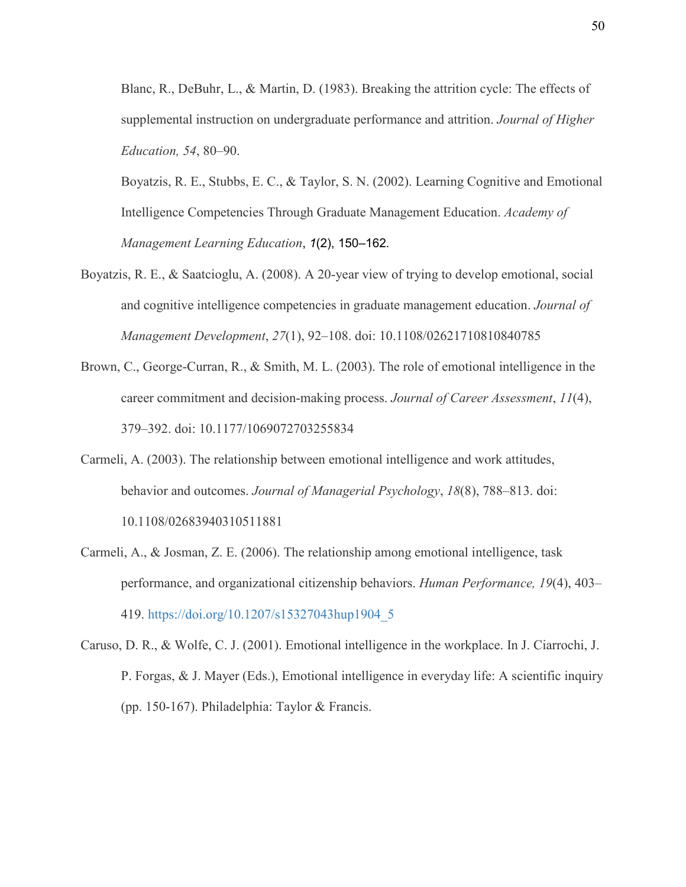Blanc, R., DeBuhr, L., & Martin, D. (1983). Breaking the attrition cycle: The effects of supplemental instruction on undergraduate performance and attrition. *Journal of Higher Education, 54*, 80–90.

Boyatzis, R. E., Stubbs, E. C., & Taylor, S. N. (2002). Learning Cognitive and Emotional Intelligence Competencies Through Graduate Management Education. *Academy of Management Learning Education*, *1*(2), 150–162.

- Boyatzis, R. E., & Saatcioglu, A. (2008). A 20‐year view of trying to develop emotional, social and cognitive intelligence competencies in graduate management education. *Journal of Management Development*, *27*(1), 92–108. doi: 10.1108/02621710810840785
- Brown, C., George-Curran, R., & Smith, M. L. (2003). The role of emotional intelligence in the career commitment and decision-making process. *Journal of Career Assessment*, *11*(4), 379–392. doi: 10.1177/1069072703255834
- Carmeli, A. (2003). The relationship between emotional intelligence and work attitudes, behavior and outcomes. *Journal of Managerial Psychology*, *18*(8), 788–813. doi: 10.1108/02683940310511881
- Carmeli, A., & Josman, Z. E. (2006). The relationship among emotional intelligence, task performance, and organizational citizenship behaviors. *Human Performance, 19*(4), 403– 419. [https://doi.org/10.1207/s15327043hup1904\\_5](https://psycnet.apa.org/doi/10.1207/s15327043hup1904_5)
- Caruso, D. R., & Wolfe, C. J. (2001). Emotional intelligence in the workplace. In J. Ciarrochi, J. P. Forgas, & J. Mayer (Eds.), Emotional intelligence in everyday life: A scientific inquiry (pp. 150-167). Philadelphia: Taylor & Francis.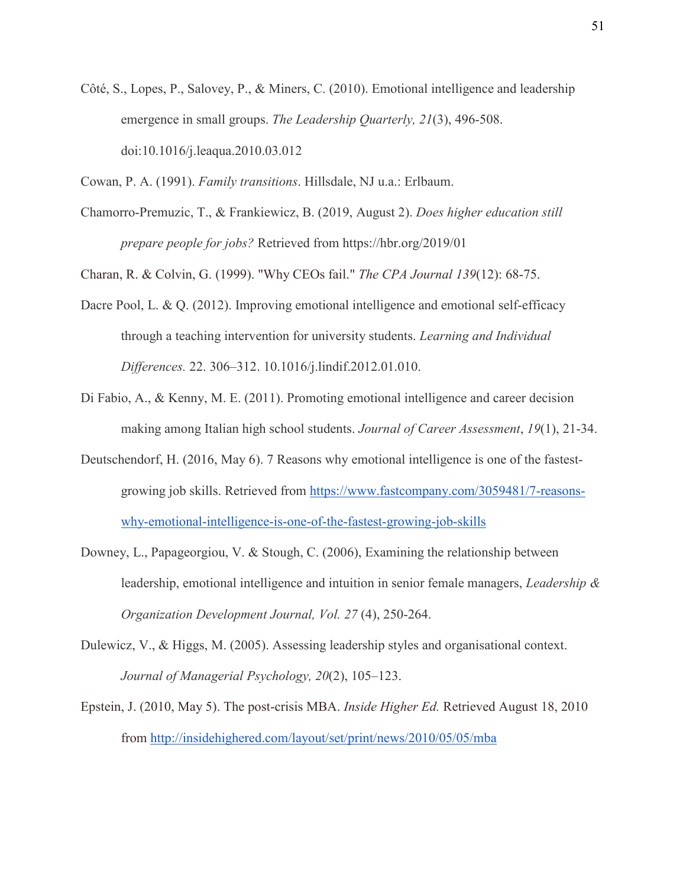- Côté, S., Lopes, P., Salovey, P., & Miners, C. (2010). Emotional intelligence and leadership emergence in small groups. *The Leadership Quarterly, 21*(3), 496-508. doi:10.1016/j.leaqua.2010.03.012
- Cowan, P. A. (1991). *Family transitions*. Hillsdale, NJ u.a.: Erlbaum.
- Chamorro-Premuzic, T., & Frankiewicz, B. (2019, August 2). *Does higher education still prepare people for jobs?* Retrieved from https://hbr.org/2019/01

Charan, R. & Colvin, G. (1999). "Why CEOs fail." *The CPA Journal 139*(12): 68-75.

- Dacre Pool, L. & Q. (2012). Improving emotional intelligence and emotional self-efficacy through a teaching intervention for university students. *Learning and Individual Differences.* 22. 306–312. 10.1016/j.lindif.2012.01.010.
- Di Fabio, A., & Kenny, M. E. (2011). Promoting emotional intelligence and career decision making among Italian high school students. *Journal of Career Assessment*, *19*(1), 21-34.
- Deutschendorf, H. (2016, May 6). 7 Reasons why emotional intelligence is one of the fastestgrowing job skills. Retrieved from [https://www.fastcompany.com/3059481/7-reasons](https://www.fastcompany.com/3059481/7-reasons-why-emotional-intelligence-is-one-of-the-fastest-growing-job-skills)[why-emotional-intelligence-is-one-of-the-fastest-growing-job-skills](https://www.fastcompany.com/3059481/7-reasons-why-emotional-intelligence-is-one-of-the-fastest-growing-job-skills)
- Downey, L., Papageorgiou, V. & Stough, C. (2006), Examining the relationship between leadership, emotional intelligence and intuition in senior female managers, *Leadership & Organization Development Journal, Vol. 27* (4), 250-264.
- Dulewicz, V., & Higgs, M. (2005). Assessing leadership styles and organisational context. *Journal of Managerial Psychology, 20*(2), 105–123.
- Epstein, J. (2010, May 5). The post-crisis MBA. *Inside Higher Ed.* Retrieved August 18, 2010 from<http://insidehighered.com/layout/set/print/news/2010/05/05/mba>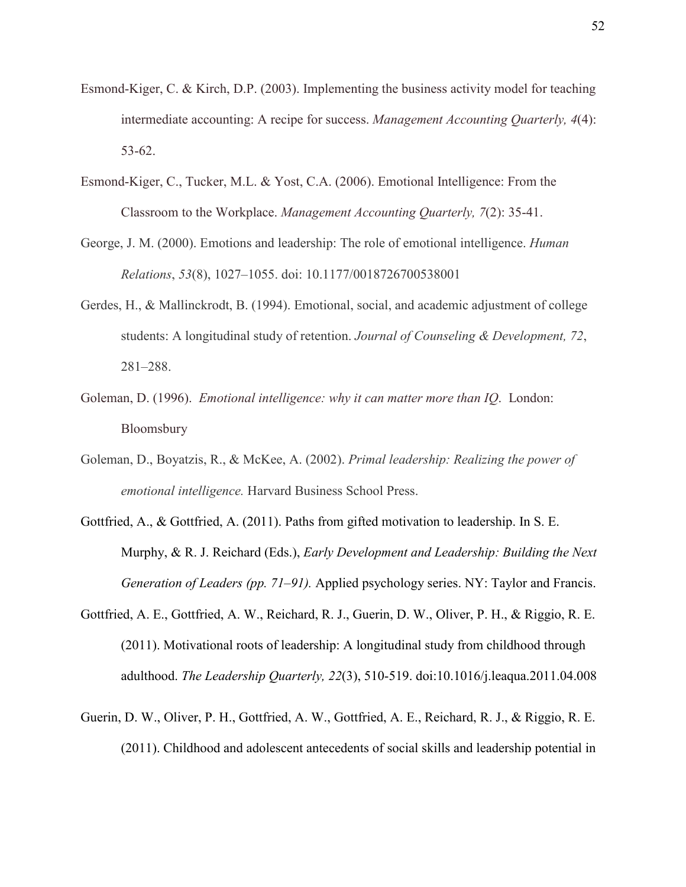- Esmond-Kiger, C. & Kirch, D.P. (2003). Implementing the business activity model for teaching intermediate accounting: A recipe for success. *Management Accounting Quarterly, 4*(4): 53-62.
- Esmond-Kiger, C., Tucker, M.L. & Yost, C.A. (2006). Emotional Intelligence: From the Classroom to the Workplace. *Management Accounting Quarterly, 7*(2): 35-41.
- George, J. M. (2000). Emotions and leadership: The role of emotional intelligence. *Human Relations*, *53*(8), 1027–1055. doi: 10.1177/0018726700538001
- Gerdes, H., & Mallinckrodt, B. (1994). Emotional, social, and academic adjustment of college students: A longitudinal study of retention. *Journal of Counseling & Development, 72*, 281–288.
- Goleman, D. (1996). *Emotional intelligence: why it can matter more than IQ*. London: Bloomsbury
- Goleman, D., Boyatzis, R., & McKee, A. (2002). *Primal leadership: Realizing the power of emotional intelligence.* Harvard Business School Press.
- Gottfried, A., & Gottfried, A. (2011). Paths from gifted motivation to leadership. In S. E. Murphy, & R. J. Reichard (Eds.), *Early Development and Leadership: Building the Next Generation of Leaders (pp. 71–91).* Applied psychology series. NY: Taylor and Francis.
- Gottfried, A. E., Gottfried, A. W., Reichard, R. J., Guerin, D. W., Oliver, P. H., & Riggio, R. E. (2011). Motivational roots of leadership: A longitudinal study from childhood through adulthood. *The Leadership Quarterly, 22*(3), 510-519. doi:10.1016/j.leaqua.2011.04.008
- Guerin, D. W., Oliver, P. H., Gottfried, A. W., Gottfried, A. E., Reichard, R. J., & Riggio, R. E. (2011). Childhood and adolescent antecedents of social skills and leadership potential in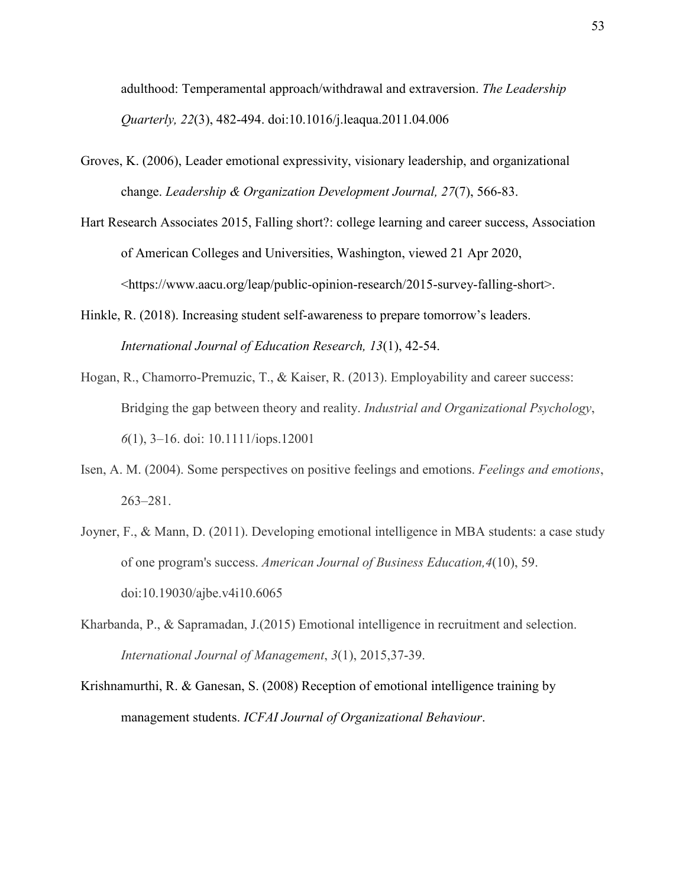adulthood: Temperamental approach/withdrawal and extraversion. *The Leadership Quarterly, 22*(3), 482-494. doi:10.1016/j.leaqua.2011.04.006

- Groves, K. (2006), Leader emotional expressivity, visionary leadership, and organizational change. *Leadership & Organization Development Journal, 27*(7), 566-83.
- Hart Research Associates 2015, Falling short?: college learning and career success, Association of American Colleges and Universities, Washington, viewed 21 Apr 2020, <https://www.aacu.org/leap/public-opinion-research/2015-survey-falling-short>.
- Hinkle, R. (2018). Increasing student self-awareness to prepare tomorrow's leaders. *International Journal of Education Research, 13*(1), 42-54.
- Hogan, R., Chamorro-Premuzic, T., & Kaiser, R. (2013). Employability and career success: Bridging the gap between theory and reality. *Industrial and Organizational Psychology*, *6*(1), 3–16. doi: 10.1111/iops.12001
- Isen, A. M. (2004). Some perspectives on positive feelings and emotions. *Feelings and emotions*, 263–281.
- Joyner, F., & Mann, D. (2011). Developing emotional intelligence in MBA students: a case study of one program's success. *American Journal of Business Education,4*(10), 59. doi:10.19030/ajbe.v4i10.6065
- Kharbanda, P., & Sapramadan, J.(2015) Emotional intelligence in recruitment and selection. *International Journal of Management*, *3*(1), 2015,37-39.
- Krishnamurthi, R. & Ganesan, S. (2008) Reception of emotional intelligence training by management students. *ICFAI Journal of Organizational Behaviour*.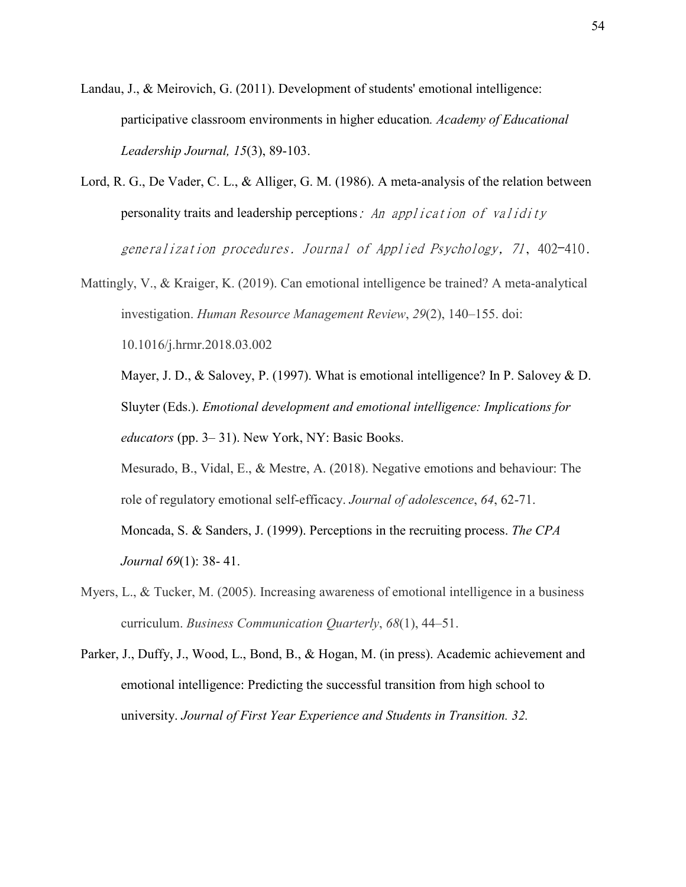Landau, J., & Meirovich, G. (2011). Development of students' emotional intelligence: participative classroom environments in higher education*. Academy of Educational Leadership Journal, 15*(3), 89-103.

- Lord, R. G., De Vader, C. L., & Alliger, G. M. (1986). A meta-analysis of the relation between personality traits and leadership perceptions: An application of validity generalization procedures. Journal of Applied Psychology, 71, 402-410.
- Mattingly, V., & Kraiger, K. (2019). Can emotional intelligence be trained? A meta-analytical investigation. *Human Resource Management Review*, *29*(2), 140–155. doi: 10.1016/j.hrmr.2018.03.002

Mayer, J. D., & Salovey, P. (1997). What is emotional intelligence? In P. Salovey & D. Sluyter (Eds.). *Emotional development and emotional intelligence: Implications for educators* (pp. 3– 31). New York, NY: Basic Books.

Mesurado, B., Vidal, E., & Mestre, A. (2018). Negative emotions and behaviour: The role of regulatory emotional self-efficacy. *Journal of adolescence*, *64*, 62-71.

Moncada, S. & Sanders, J. (1999). Perceptions in the recruiting process. *The CPA Journal 69*(1): 38- 41.

- Myers, L., & Tucker, M. (2005). Increasing awareness of emotional intelligence in a business curriculum. *Business Communication Quarterly*, *68*(1), 44–51.
- Parker, J., Duffy, J., Wood, L., Bond, B., & Hogan, M. (in press). Academic achievement and emotional intelligence: Predicting the successful transition from high school to university. *Journal of First Year Experience and Students in Transition. 32.*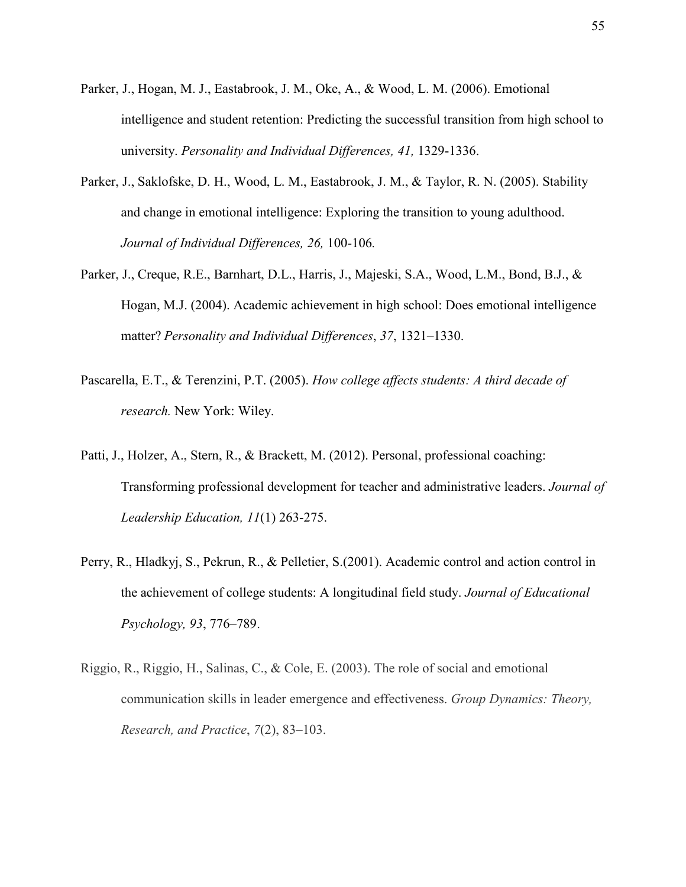- Parker, J., Hogan, M. J., Eastabrook, J. M., Oke, A., & Wood, L. M. (2006). Emotional intelligence and student retention: Predicting the successful transition from high school to university. *Personality and Individual Differences, 41,* 1329-1336.
- Parker, J., Saklofske, D. H., Wood, L. M., Eastabrook, J. M., & Taylor, R. N. (2005). Stability and change in emotional intelligence: Exploring the transition to young adulthood. *Journal of Individual Differences, 26,* 100-106*.*
- Parker, J., Creque, R.E., Barnhart, D.L., Harris, J., Majeski, S.A., Wood, L.M., Bond, B.J., & Hogan, M.J. (2004). Academic achievement in high school: Does emotional intelligence matter? *Personality and Individual Differences*, *37*, 1321–1330.
- Pascarella, E.T., & Terenzini, P.T. (2005). *How college affects students: A third decade of research.* New York: Wiley.
- Patti, J., Holzer, A., Stern, R., & Brackett, M. (2012). Personal, professional coaching: Transforming professional development for teacher and administrative leaders. *Journal of Leadership Education, 11*(1) 263-275.
- Perry, R., Hladkyj, S., Pekrun, R., & Pelletier, S.(2001). Academic control and action control in the achievement of college students: A longitudinal field study. *Journal of Educational Psychology, 93*, 776–789.
- Riggio, R., Riggio, H., Salinas, C., & Cole, E. (2003). The role of social and emotional communication skills in leader emergence and effectiveness. *Group Dynamics: Theory, Research, and Practice*, *7*(2), 83–103.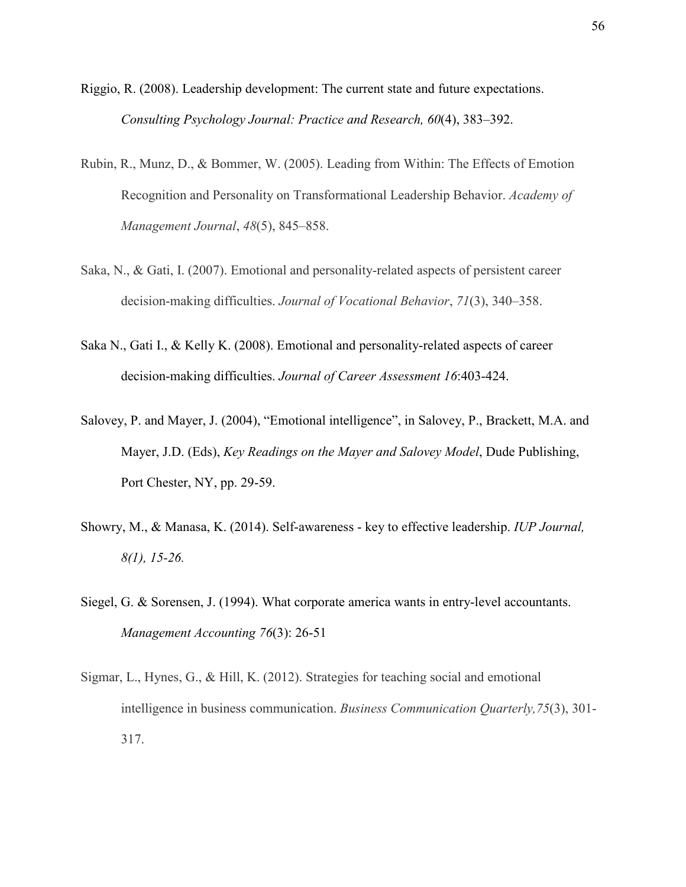- Riggio, R. (2008). Leadership development: The current state and future expectations. *Consulting Psychology Journal: Practice and Research, 60*(4), 383–392.
- Rubin, R., Munz, D., & Bommer, W. (2005). Leading from Within: The Effects of Emotion Recognition and Personality on Transformational Leadership Behavior. *Academy of Management Journal*, *48*(5), 845–858.
- Saka, N., & Gati, I. (2007). Emotional and personality-related aspects of persistent career decision-making difficulties. *Journal of Vocational Behavior*, *71*(3), 340–358.
- Saka N., Gati I., & Kelly K. (2008). Emotional and personality-related aspects of career decision-making difficulties. *Journal of Career Assessment 16*:403-424.
- Salovey, P. and Mayer, J. (2004), "Emotional intelligence", in Salovey, P., Brackett, M.A. and Mayer, J.D. (Eds), *Key Readings on the Mayer and Salovey Model*, Dude Publishing, Port Chester, NY, pp. 29-59.
- Showry, M., & Manasa, K. (2014). Self-awareness key to effective leadership. *IUP Journal, 8(1), 15-26.*
- Siegel, G. & Sorensen, J. (1994). What corporate america wants in entry-level accountants. *Management Accounting 76*(3): 26-51
- Sigmar, L., Hynes, G., & Hill, K. (2012). Strategies for teaching social and emotional intelligence in business communication. *Business Communication Quarterly,75*(3), 301- 317.